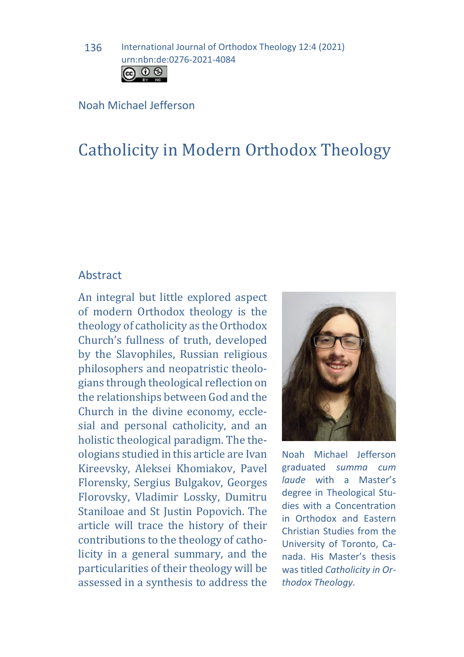136 International Journal of Orthodox Theology 12:4 (2021) urn:nbn:de:0276-2021-4084



#### Noah Michael Jefferson

# Catholicity in Modern Orthodox Theology

### Abstract

An integral but little explored aspect of modern Orthodox theology is the theology of catholicity as the Orthodox Church's fullness of truth, developed by the Slavophiles, Russian religious philosophers and neopatristic theologians through theological reflection on the relationships between God and the Church in the divine economy, ecclesial and personal catholicity, and an holistic theological paradigm. The theologians studied in this article are Ivan Kireevsky, Aleksei Khomiakov, Pavel Florensky, Sergius Bulgakov, Georges Florovsky, Vladimir Lossky, Dumitru Staniloae and St Justin Popovich. The article will trace the history of their contributions to the theology of catholicity in a general summary, and the particularities of their theology will be assessed in a synthesis to address the



Noah Michael Jefferson graduated *summa cum laude* with a Master's degree in Theological Studies with a Concentration in Orthodox and Eastern Christian Studies from the University of Toronto, Canada. His Master's thesis was titled *Catholicity in Orthodox Theology.*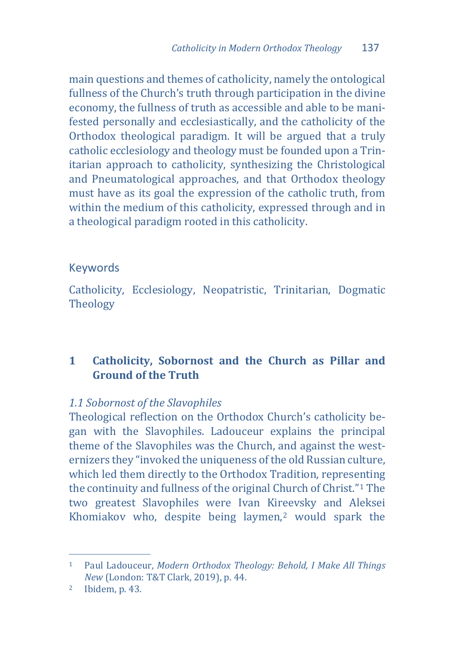main questions and themes of catholicity, namely the ontological fullness of the Church's truth through participation in the divine economy, the fullness of truth as accessible and able to be manifested personally and ecclesiastically, and the catholicity of the Orthodox theological paradigm. It will be argued that a truly catholic ecclesiology and theology must be founded upon a Trinitarian approach to catholicity, synthesizing the Christological and Pneumatological approaches, and that Orthodox theology must have as its goal the expression of the catholic truth, from within the medium of this catholicity, expressed through and in a theological paradigm rooted in this catholicity.

# Keywords

Catholicity, Ecclesiology, Neopatristic, Trinitarian, Dogmatic **Theology** 

# **1 Catholicity, Sobornost and the Church as Pillar and Ground of the Truth**

## *1.1 Sobornost of the Slavophiles*

Theological reflection on the Orthodox Church's catholicity began with the Slavophiles. Ladouceur explains the principal theme of the Slavophiles was the Church, and against the westernizers they "invoked the uniqueness of the old Russian culture, which led them directly to the Orthodox Tradition, represe[n](#page-1-0)ting the continuity and fullness of the original Church of Christ."1 The two greatest Slavophiles were Ivan Kireevsky and Aleksei Khomiakov who, despite being laymen,[2](#page-1-1) would spark the

<span id="page-1-0"></span>j <sup>1</sup> Paul Ladouceur, *Modern Orthodox Theology: Behold, I Make All Things New* (London: T&T Clark, 2019), p. 44. 2 Ibidem, p. 43.

<span id="page-1-1"></span>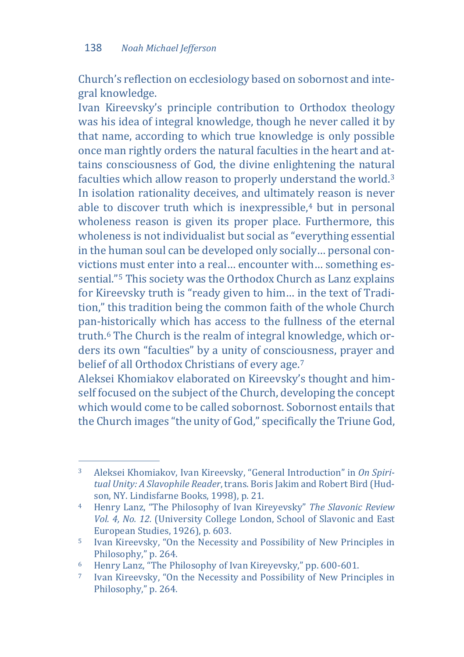Church's reflection on ecclesiology based on sobornost and integral knowledge.

Ivan Kireevsky's principle contribution to Orthodox theology was his idea of integral knowledge, though he never called it by that name, according to which true knowledge is only possible once man rightly orders the natural faculties in the heart and attains consciousness of God, the divine enlightening the natural faculties which allow reason to properly understand the world[.3](#page-2-0) In isolation rationality deceives, and ultimately reason is never able to discover truth which is inexpressible.<sup>4</sup> but in personal wholeness reason is given its proper place. Furthermore, this wholeness is not individualist but social as "everything essential in the human soul can be developed only socially… personal convictions must enter into a real… encounter with… something essential."[5](#page-2-2) This society was the Orthodox Church as Lanz explains for Kireevsky truth is "ready given to him… in the text of Tradition," this tradition being the common faith of the whole Church pan-historically which has access to the fullness of the eternal truth.[6](#page-2-3) The Church is the realm of integral knowledge, which orders its own "faculties" by a unity of consci[ou](#page-2-4)sness, prayer and belief of all Orthodox Christians of every age.7

Aleksei Khomiakov elaborated on Kireevsky's thought and himself focused on the subject of the Church, developing the concept which would come to be called sobornost. Sobornost entails that the Church images "the unity of God," specifically the Triune God,

<span id="page-2-0"></span> $\overline{3}$ <sup>3</sup> Aleksei Khomiakov, Ivan Kireevsky, "General Introduction" in *On Spiritual Unity: A Slavophile Reader*, trans. Boris Jakim and Robert Bird (Hudson, NY. Lindisfarne Books, 1998), p. 21.

<span id="page-2-1"></span><sup>4</sup> Henry Lanz, "The Philosophy of Ivan Kireyevsky" *The Slavonic Review Vol. 4, No. 12.* (University College London, School of Slavonic and East

<span id="page-2-2"></span><sup>&</sup>lt;sup>5</sup> Ivan Kireevsky, "On the Necessity and Possibility of New Principles in Philosophy," p. 264.

<span id="page-2-4"></span><span id="page-2-3"></span><sup>&</sup>lt;sup>6</sup> Henry Lanz, "The Philosophy of Ivan Kireyevsky," pp. 600-601.<br><sup>7</sup> Ivan Kireevsky, "On the Necessity and Possibility of New Principles in Philosophy," p. 264.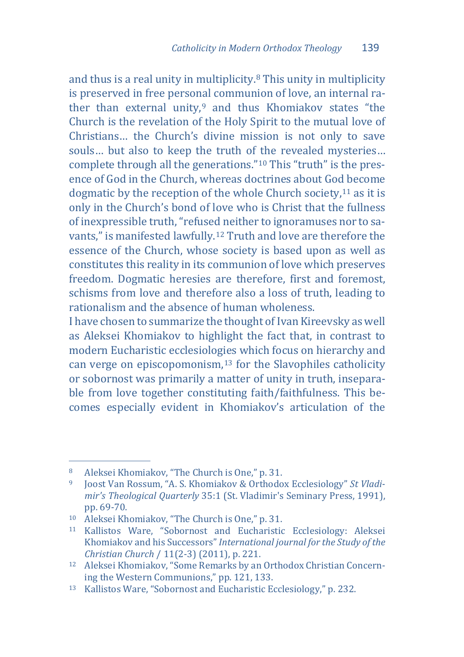and thus is a real unity in multiplicity.[8](#page-3-0) This unity in multiplicity is preserved in free personal communion of love, an internal rather than external unity, $9$  and thus Khomiakov states "the Church is the revelation of the Holy Spirit to the mutual love of Christians… the Church's divine mission is not only to save souls… but also to keep the truth of the revealed mysteries… complete through all the generations."[10](#page-3-2) This "truth" is the presence of God in the Church, whereas doctrines about Go[d b](#page-3-3)ecome dogmatic by the reception of the whole Church society,11 as it is only in the Church's bond of love who is Christ that the fullness of inexpressible truth, "refused neither to ignoramuses nor to savants," is manifested lawfully[.12](#page-3-4) Truth and love are therefore the essence of the Church, whose society is based upon as well as constitutes this reality in its communion of love which preserves freedom. Dogmatic heresies are therefore, first and foremost, schisms from love and therefore also a loss of truth, leading to rationalism and the absence of human wholeness.

I have chosen to summarize the thought of Ivan Kireevsky as well as Aleksei Khomiakov to highlight the fact that, in contrast to modern Eucharistic ecclesiolog[ies](#page-3-5) which focus on hierarchy and can verge on episcopomonism,13 for the Slavophiles catholicity or sobornost was primarily a matter of unity in truth, inseparable from love together constituting faith/faithfulness. This becomes especially evident in Khomiakov's articulation of the

j <sup>8</sup> Aleksei Khomiakov, "The Church is One," p. 31.

<span id="page-3-1"></span><span id="page-3-0"></span><sup>9</sup> Joost Van Rossum, "A. S. Khomiakov & Orthodox Ecclesiology" *St Vladimir's Theological Quarterly* 35:1 (St. Vladimir's Seminary Press, 1991),

<span id="page-3-2"></span>pp. 69-70. 10 Aleksei Khomiakov, "The Church is One," p. 31.

<span id="page-3-3"></span><sup>11</sup> Kallistos Ware, "Sobornost and Eucharistic Ecclesiology: Aleksei Khomiakov and his Successors" *International journal for the Study of the* 

<span id="page-3-4"></span><sup>&</sup>lt;sup>12</sup> Aleksei Khomiakov, "Some Remarks by an Orthodox Christian Concerning the Western Communions," pp. 121, 133.

<span id="page-3-5"></span><sup>&</sup>lt;sup>13</sup> Kallistos Ware, "Sobornost and Eucharistic Ecclesiology," p. 232.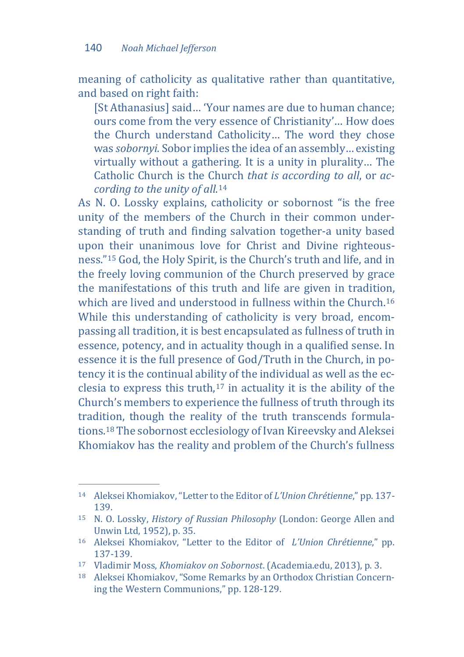meaning of catholicity as qualitative rather than quantitative, and based on right faith:

[St Athanasius] said... 'Your names are due to human chance; ours come from the very essence of Christianity'… How does the Church understand Catholicity… The word they chose was *sobornyi.* Sobor implies the idea of an assembly… existing virtually without a gathering. It is a unity in plurality… The Catholic Church is the Church *that is according to all*, or *according to the unity of all*.[14](#page-4-0) 

As N. O. Lossky explains, catholicity or sobornost "is the free unity of the members of the Church in their common understanding of truth and finding salvation together-a unity based upon their unanimous love for Christ and Divine righteousness."[15](#page-4-1) God, the Holy Spirit, is the Church's truth and life, and in the freely loving communion of the Church preserved by grace the manifestations of this truth and life are given in tradition, which are lived and understood in fullness within the Church.<sup>[16](#page-4-2)</sup> While this understanding of catholicity is very broad, encompassing all tradition, it is best encapsulated as fullness of truth in essence, potency, and in actuality though in a qualified sense. In essence it is the full presence of God/Truth in the Church, in potency it is the continual ability of the individual as well as the ecclesia to express this truth[,17](#page-4-3) in actuality it is the ability of the Church's members to experience the fullness of truth through its tradition, though the reality of the truth transcends formulations.[18](#page-4-4) The sobornost ecclesiology of Ivan Kireevsky and Aleksei Khomiakov has the reality and problem of the Church's fullness

j <sup>14</sup> Aleksei Khomiakov, "Letter to the Editor of *L'Union Chrétienne*," pp. 137-

<span id="page-4-1"></span><span id="page-4-0"></span><sup>139. 15</sup> N. O. Lossky, *History of Russian Philosophy* (London: George Allen and

<span id="page-4-2"></span><sup>&</sup>lt;sup>16</sup> Aleksei Khomiakov, "Letter to the Editor of *L'Union Chrétienne*," pp. 137-139.<br>17 Vladimir Moss, Khomiakov on Sobornost. (Academia.edu, 2013), p. 3.

<span id="page-4-3"></span>

<span id="page-4-4"></span><sup>&</sup>lt;sup>18</sup> Aleksei Khomiakov, "Some Remarks by an Orthodox Christian Concerning the Western Communions," pp. 128-129.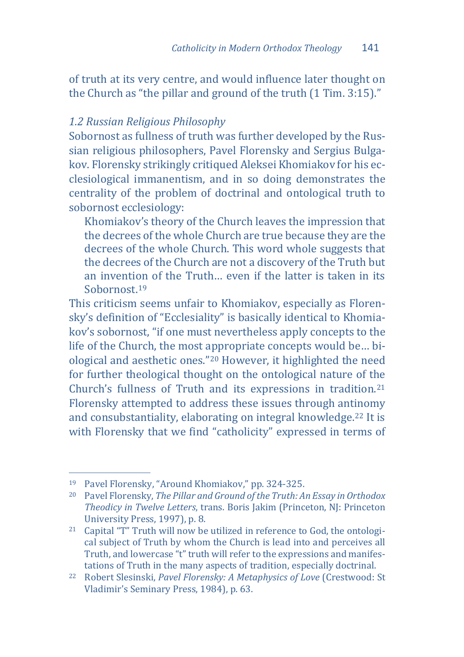of truth at its very centre, and would influence later thought on the Church as "the pillar and ground of the truth (1 Tim. 3:15)."

# *1.2 Russian Religious Philosophy*

Sobornost as fullness of truth was further developed by the Russian religious philosophers, Pavel Florensky and Sergius Bulgakov. Florensky strikingly critiqued Aleksei Khomiakov for his ecclesiological immanentism, and in so doing demonstrates the centrality of the problem of doctrinal and ontological truth to sobornost ecclesiology:

Khomiakov's theory of the Church leaves the impression that the decrees of the whole Church are true because they are the decrees of the whole Church. This word whole suggests that the decrees of the Church are not a discovery of the Truth but an invention of the Truth… even if the latter is taken in its Sobornost.[19](#page-5-0)

This criticism seems unfair to Khomiakov, especially as Florensky's definition of "Ecclesiality" is basically identical to Khomiakov's sobornost, "if one must nevertheless apply concepts to the life of the Church, the most appropriate concepts would be… biological and aesthetic ones."[20](#page-5-1) However, it highlighted the need for further theological thought on the ontological nature of the Church's fullness of Truth and its expressions in tradition.[21](#page-5-2) Florensky attempted to address these issues through antinomy and consubstantiality, elaborating on integral knowledge.[22](#page-5-3) It is with Florensky that we find "catholicity" expressed in terms of

<span id="page-5-0"></span><sup>&</sup>lt;sup>19</sup> Pavel Florensky, "Around Khomiakov," pp. 324-325.

<span id="page-5-1"></span><sup>&</sup>lt;sup>20</sup> Pavel Florensky, The Pillar and Ground of the Truth: An Essay in Orthodox *Theodicy in Twelve Letters*, trans. Boris Jakim (Princeton, NJ: Princeton University Press, 1997). p. 8.

<span id="page-5-2"></span><sup>&</sup>lt;sup>21</sup> Capital "T" Truth will now be utilized in reference to God, the ontological subject of Truth by whom the Church is lead into and perceives all Truth, and lowercase "t" truth will refer to the expressions and manifes-<br>tations of Truth in the many aspects of tradition, especially doctrinal.

<span id="page-5-3"></span><sup>&</sup>lt;sup>22</sup> Robert Slesinski, Pavel Florensky: A Metaphysics of Love (Crestwood: St Vladimir's Seminary Press, 1984), p. 63.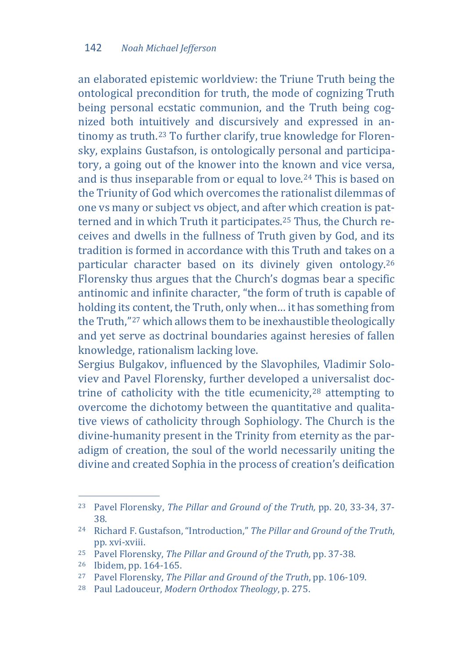an elaborated epistemic worldview: the Triune Truth being the ontological precondition for truth, the mode of cognizing Truth being personal ecstatic communion, and the Truth being cognized both intuitively and discursively and expressed in antinomy as truth.[23](#page-6-0) To further clarify, true knowledge for Florensky, explains Gustafson, is ontologically personal and participatory, a going out of the knower into the known and vice versa, and is thus inseparable from or equal to love.<sup>[24](#page-6-1)</sup> This is based on the Triunity of God which overcomes the rationalist dilemmas of one vs many or subject vs object, and after which creation is patterned and in which Truth it participates.[25](#page-6-2) Thus, the Church receives and dwells in the fullness of Truth given by God, and its tradition is formed in accordance with this Truth and takes on a particular character based on its divinely given ontology.[26](#page-6-3) Florensky thus argues that the Church's dogmas bear a specific antinomic and infinite character, "the form of truth is capable of holding its content, the Truth, only when… it has something from the Truth,"[27](#page-6-4) which allows them to be inexhaustible theologically and yet serve as doctrinal boundaries against heresies of fallen knowledge, rationalism lacking love.

Sergius Bulgakov, influenced by the Slavophiles, Vladimir Soloviev and Pavel Florensky, further developed a [un](#page-6-5)iversalist doctrine of catholicity with the title ecumenicity,28 attempting to overcome the dichotomy between the quantitative and qualitative views of catholicity through Sophiology. The Church is the divine-humanity present in the Trinity from eternity as the paradigm of creation, the soul of the world necessarily uniting the divine and created Sophia in the process of creation's deification

<span id="page-6-0"></span>j <sup>23</sup> Pavel Florensky, *The Pillar and Ground of the Truth,* pp. 20, 33-34, 37-

<span id="page-6-1"></span><sup>38. 24</sup> Richard F. Gustafson, "Introduction," *The Pillar and Ground of the Truth*,

<span id="page-6-4"></span><span id="page-6-3"></span>

<span id="page-6-2"></span><sup>&</sup>lt;sup>25</sup> Pavel Florensky, *The Pillar and Ground of the Truth*, pp. 37-38.<br><sup>26</sup> Ibidem, pp. 164-165.<br><sup>27</sup> Pavel Florensky, *The Pillar and Ground of the Truth*, pp. 106-109.<br><sup>28</sup> Paul Ladouceur, *Modern Orthodox Theology*, p.

<span id="page-6-5"></span>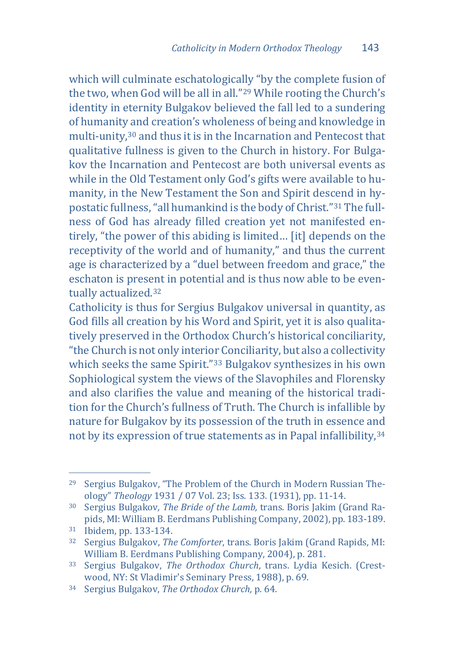which will culminate eschatologically "by the complete fusion of the two, when God will be all in all."[29](#page-7-0) While rooting the Church's identity in eternity Bulgakov believed the fall led to a sundering of humanity and creation's wholeness of being and knowledge in multi-unity,[30](#page-7-1) and thus it is in the Incarnation and Pentecost that qualitative fullness is given to the Church in history. For Bulgakov the Incarnation and Pentecost are both universal events as while in the Old Testament only God's gifts were available to humanity, in the New Testament the Son and Spirit descend in hypostatic fullness, "all humankind is the body of Christ."[31](#page-7-2) The fullness of God has already filled creation yet not manifested entirely, "the power of this abiding is limited… [it] depends on the receptivity of the world and of humanity," and thus the current age is characterized by a "duel between freedom and grace," the eschaton is present in potential and is thus now able to be eventually actualized.[32](#page-7-3)

Catholicity is thus for Sergius Bulgakov universal in quantity, as God fills all creation by his Word and Spirit, yet it is also qualitatively preserved in the Orthodox Church's historical conciliarity, "the Church is not only interior Conciliarity, but also a collectivity which seeks the same Spirit."[33](#page-7-4) Bulgakov synthesizes in his own Sophiological system the views of the Slavophiles and Florensky and also clarifies the value and meaning of the historical tradition for the Church's fullness of Truth. The Church is infallible by nature for Bulgakov by its possession of the truth in essence and not by its expression of true statements as in Papal infallibility,[34](#page-7-5)

j <sup>29</sup> Sergius Bulgakov, "The Problem of the Church in Modern Russian The-

<span id="page-7-1"></span><span id="page-7-0"></span>ology" *Theology* 1931 / 07 Vol. 23; Iss. 133. (1931), pp. 11-14. 30 Sergius Bulgakov*, The Bride of the Lamb,* trans. Boris Jakim (Grand Ra-

<span id="page-7-3"></span><span id="page-7-2"></span><sup>&</sup>lt;sup>31</sup> Ibidem, pp. 133-134.<br><sup>32</sup> Sergius Bulgakov, *The Comforter*, trans. Boris Jakim (Grand Rapids, MI: William B. Eerdmans Publishing Company, 2004), p. 281.

<span id="page-7-4"></span><sup>&</sup>lt;sup>33</sup> Sergius Bulgakov, *The Orthodox Church*, trans. Lydia Kesich. (Crest-wood, NY: St Vladimir's Seminary Press, 1988), p. 69.

<span id="page-7-5"></span><sup>34</sup> Sergius Bulgakov, The Orthodox Church, p. 64.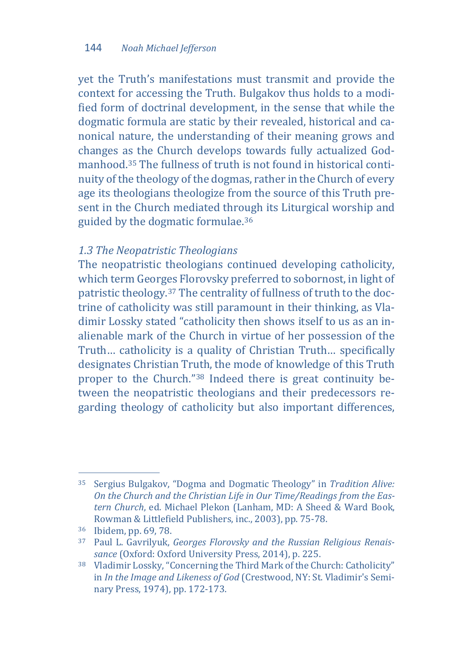yet the Truth's manifestations must transmit and provide the context for accessing the Truth. Bulgakov thus holds to a modified form of doctrinal development, in the sense that while the dogmatic formula are static by their revealed, historical and canonical nature, the understanding of their meaning grows and changes as the Church develops towards fully actualized Godmanhood.[35](#page-8-0) The fullness of truth is not found in historical continuity of the theology of the dogmas, rather in the Church of every age its theologians theologize from the source of this Truth present in the Church mediated through its Liturgical worship and guided by the dogmatic formulae.[36](#page-8-1)

#### *1.3 The Neopatristic Theologians*

The neopatristic theologians continued developing catholicity, which term Georges Florovsky preferred to sobornost, in light of patristic theology.[37](#page-8-2) The centrality of fullness of truth to the doctrine of catholicity was still paramount in their thinking, as Vladimir Lossky stated "catholicity then shows itself to us as an inalienable mark of the Church in virtue of her possession of the Truth… catholicity is a quality of Christian Truth… specifically designates Christian Truth, the mode of knowledge of this Truth proper to the Church.["38](#page-8-3) Indeed there is great continuity between the neopatristic theologians and their predecessors regarding theology of catholicity but also important differences,

<span id="page-8-0"></span>j <sup>35</sup> Sergius Bulgakov, "Dogma and Dogmatic Theology" in *Tradition Alive: On the Church and the Christian Life in Our Time/Readings from the Eastern Church*, ed. Michael Plekon (Lanham, MD: A Sheed & Ward Book,

<span id="page-8-2"></span><span id="page-8-1"></span><sup>&</sup>lt;sup>36</sup> Ibidem, pp. 69, 78.<br><sup>37</sup> Paul L. Gavrilyuk, *Georges Florovsky and the Russian Religious Renais-*<br>*sance* (Oxford: Oxford University Press, 2014), p. 225.

<span id="page-8-3"></span><sup>&</sup>lt;sup>38</sup> Vladimir Lossky, "Concerning the Third Mark of the Church: Catholicity" in *In the Image and Likeness of God* (Crestwood, NY: St. Vladimir's Seminary Press, 1974), pp. 172-173.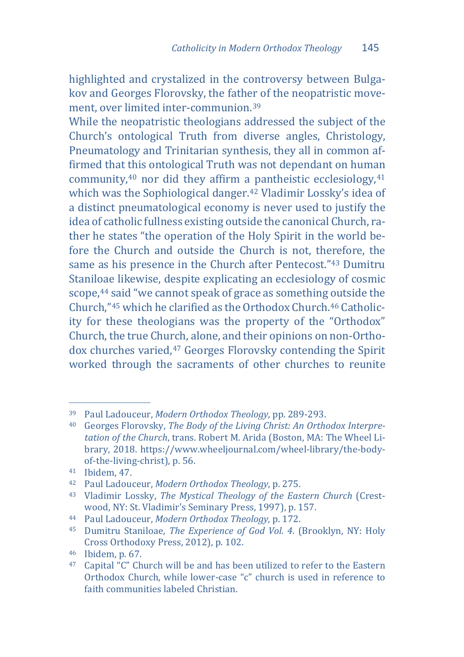highlighted and crystalized in the controversy between Bulgakov and Georges Florovsky, the father of the neopatristic movement, over limited inter-communion.[39](#page-9-0)

While the neopatristic theologians addressed the subject of the Church's ontological Truth from diverse angles, Christology, Pneumatology and Trinitarian synthesis, they all in common affirmed that this ontological Truth was not dependant on human community, $40$  nor did they affirm [a p](#page-9-3)antheistic ecclesiology, $41$ which was the Sophiological danger.42 Vladimir Lossky's idea of a distinct pneumatological economy is never used to justify the idea of catholic fullness existing outside the canonical Church, rather he states "the operation of the Holy Spirit in the world before the Church and outside the Church is not, therefore, the same as his presence in the Church after Pentecost."[43](#page-9-4) Dumitru Staniloae likewise, despite explicating an ecclesiology of cosmic scope,[44](#page-9-5) said "we cannot speak of grace as something outside the Church,"[45](#page-9-6) which he clarified as the Orthodox Church.[46](#page-9-7) Catholicity for these theologians was the property of the "Orthodox" Church, the true Church, alone, and their opinions on non-Ortho-dox churches varied,<sup>[47](#page-9-8)</sup> Georges Florovsky contending the Spirit worked through the sacraments of other churches to reunite

<span id="page-9-0"></span><sup>&</sup>lt;sup>39</sup> Paul Ladouceur, Modern Orthodox Theology, pp. 289-293.

<span id="page-9-1"></span><sup>&</sup>lt;sup>40</sup> Georges Florovsky, *The Body of the Living Christ: An Orthodox Interpretation of the Church*, trans. Robert M. Arida (Boston, MA: The Wheel Library, 2018. https://www.wheeljournal.com/wheel-library/the-body-

<span id="page-9-3"></span><span id="page-9-2"></span><sup>&</sup>lt;sup>41</sup> Ibidem, 47. *h* 47. *Atamagash, 42. Paul Ladouceur, Modern Orthodox Theology, p. 275.* 

<span id="page-9-4"></span><sup>43</sup> Vladimir Lossky, *The Mystical Theology of the Eastern Church* (Crest-

<span id="page-9-5"></span>wood, NY: St. Vladimir's Seminary Press, 1997), p. 157. 44 Paul Ladouceur, *Modern Orthodox Theology,* p. 172.

<span id="page-9-6"></span><sup>45</sup> Dumitru Staniloae, *The Experience of God Vol. 4*. (Brooklyn, NY: Holy

<span id="page-9-8"></span><span id="page-9-7"></span><sup>&</sup>lt;sup>46</sup> Ibidem, p. 67. **68 Ibidem, p. 67.** 67. **47** Capital "C" Church will be and has been utilized to refer to the Eastern Orthodox Church, while lower-case "c" church is used in reference to faith communities labeled Christian.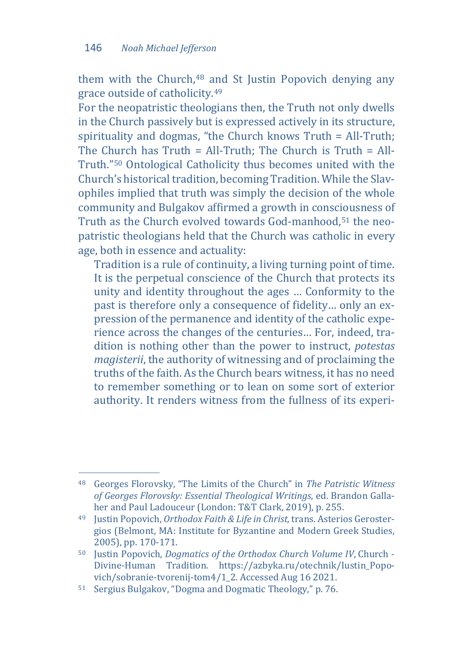them with the Church,[48](#page-10-0) and St Justin Popovich denying any grace outside of catholicity.[49](#page-10-1)

For the neopatristic theologians then, the Truth not only dwells in the Church passively but is expressed actively in its structure, spirituality and dogmas, "the Church knows Truth = All-Truth; The Church has  $Truth = All-Truth$ : The Church is  $Truth = All$ Truth."[50](#page-10-2) Ontological Catholicity thus becomes united with the Church's historical tradition, becoming Tradition. While the Slavophiles implied that truth was simply the decision of the whole community and Bulgakov affirmed a growth in consciousness of Truth as the Church evolved towards God-manhood,<sup>[51](#page-10-3)</sup> the neopatristic theologians held that the Church was catholic in every age, both in essence and actuality:

Tradition is a rule of continuity, a living turning point of time. It is the perpetual conscience of the Church that protects its unity and identity throughout the ages … Conformity to the past is therefore only a consequence of fidelity… only an expression of the permanence and identity of the catholic experience across the changes of the centuries… For, indeed, tradition is nothing other than the power to instruct, *potestas magisterii*, the authority of witnessing and of proclaiming the truths of the faith. As the Church bears witness, it has no need to remember something or to lean on some sort of exterior authority. It renders witness from the fullness of its experi-

<span id="page-10-0"></span>j <sup>48</sup> Georges Florovsky, "The Limits of the Church" in *The Patristic Witness*  of Georges Florovsky: Essential Theological Writings, ed. Brandon Galla-<br>her and Paul Ladouceur (London: T&T Clark. 2019). p. 255.

<span id="page-10-1"></span><sup>&</sup>lt;sup>49</sup> Justin Popovich, Orthodox Faith & Life in Christ, trans. Asterios Gerostergios (Belmont, MA: Institute for Byzantine and Modern Greek Studies,

<span id="page-10-2"></span><sup>&</sup>lt;sup>50</sup> Justin Popovich, *Dogmatics of the Orthodox Church Volume IV*, Church -Divine-Human Tradition. https://azbyka.ru/otechnik/Iustin\_Popo-

<span id="page-10-3"></span><sup>51</sup> Sergius Bulgakov, "Dogma and Dogmatic Theology," p. 76.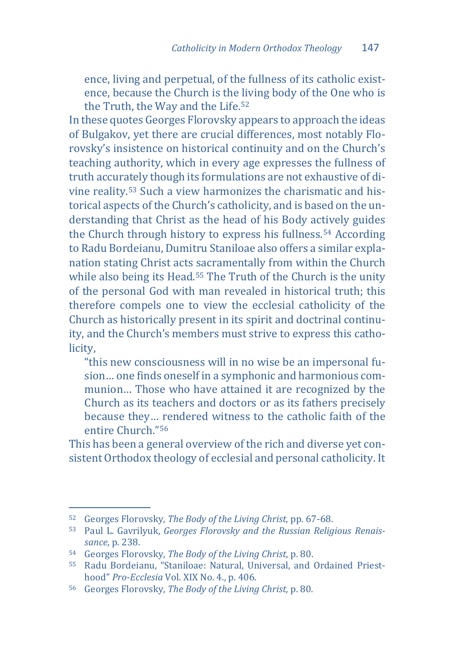ence, living and perpetual, of the fullness of its catholic existence, because the Church is the living body of the One who is the Truth, the Way and the Life.<sup>52</sup>

In these quotes Georges Florovsky appears to approach the ideas of Bulgakov, yet there are crucial differences, most notably Florovsky's insistence on historical continuity and on the Church's teaching authority, which in every age expresses the fullness of truth accurately though its formulations are not exhaustive of divine reality.[53](#page-11-1) Such a view harmonizes the charismatic and historical aspects of the Church's catholicity, and is based on the understanding that Christ as the head of his Body actively guides the Church through history to express his fullness.[54](#page-11-2) According to Radu Bordeianu, Dumitru Staniloae also offers a similar explanation stating Christ acts sacramentally from within the Church while also being its Head.<sup>[55](#page-11-3)</sup> The Truth of the Church is the unity of the personal God with man revealed in historical truth; this therefore compels one to view the ecclesial catholicity of the Church as historically present in its spirit and doctrinal continuity, and the Church's members must strive to express this catholicity,

"this new consciousness will in no wise be an impersonal fusion… one finds oneself in a symphonic and harmonious communion… Those who have attained it are recognized by the Church as its teachers and doctors or as its fathers precisely because they… rendered witness to the catholic faith of the entire Church."[56](#page-11-4)

This has been a general overview of the rich and diverse yet consistent Orthodox theology of ecclesial and personal catholicity. It

<span id="page-11-0"></span><sup>&</sup>lt;sup>52</sup> Georges Florovsky, The Body of the Living Christ, pp. 67-68.

<span id="page-11-1"></span><sup>53</sup> Paul L. Gavrilyuk, *Georges Florovsky and the Russian Religious Renais-*<br> *Sance*. p. 238.

<span id="page-11-3"></span><span id="page-11-2"></span><sup>&</sup>lt;sup>54</sup> Georges Florovsky, *The Body of the Living Christ*, p. 80.<br><sup>55</sup> Radu Bordeianu, "Staniloae: Natural, Universal, and Ordained Priest-<br>hood" *Pro-Ecclesia* Vol. XIX No. 4., p. 406.

<span id="page-11-4"></span><sup>&</sup>lt;sup>56</sup> Georges Florovsky, *The Body of the Living Christ*, p. 80.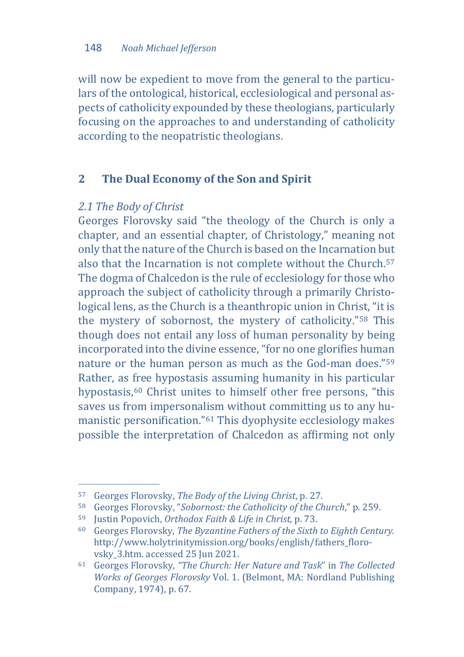will now be expedient to move from the general to the particulars of the ontological, historical, ecclesiological and personal aspects of catholicity expounded by these theologians, particularly focusing on the approaches to and understanding of catholicity according to the neopatristic theologians.

# **2 The Dual Economy of the Son and Spirit**

#### *2.1 The Body of Christ*

Georges Florovsky said "the theology of the Church is only a chapter, and an essential chapter, of Christology," meaning not only that the nature of the Church is based on the Incarnation but also that the Incarnation is not complete without the Church.[57](#page-12-0) The dogma of Chalcedon is the rule of ecclesiology for those who approach the subject of catholicity through a primarily Christological lens, as the Church is a theanthropic union in Christ, "it is the mystery of sobornost, the mystery of catholicity."[58](#page-12-1) This though does not entail any loss of human personality by being incorporated into the divine essence, "for no one glorifies human nature or the human person as much as the God-man does."[59](#page-12-2) Rather, as free hypostasis assuming humanity in his particular hypostasis,<sup>[60](#page-12-3)</sup> Christ unites to himself other free persons, "this saves us from impersonalism without committing us to any humanistic personification.["61](#page-12-4) This dyophysite ecclesiology makes possible the interpretation of Chalcedon as affirming not only

<span id="page-12-0"></span><sup>&</sup>lt;sup>57</sup> Georges Florovsky, The Body of the Living Christ, p. 27.

<span id="page-12-1"></span><sup>&</sup>lt;sup>58</sup> Georges Florovsky, "Sobornost: the Catholicity of the Church," p. 259.<br><sup>59</sup> Justin Popovich, Orthodox Faith & Life in Christ, p. 73.<br><sup>60</sup> Georges Florovsky. The Byzantine Fathers of the Sixth to Eighth Century.

<span id="page-12-2"></span>

<span id="page-12-3"></span>http://www.holytrinitymission.org/books/english/fathers\_floro-<br>vsky 3.htm. accessed 25 Jun 2021.

<span id="page-12-4"></span><sup>&</sup>lt;sup>61</sup> Georges Florovsky, "The Church: Her Nature and Task" in The Collected *Works of Georges Florovsky* Vol. 1. (Belmont, MA: Nordland Publishing Company, 1974), p. 67.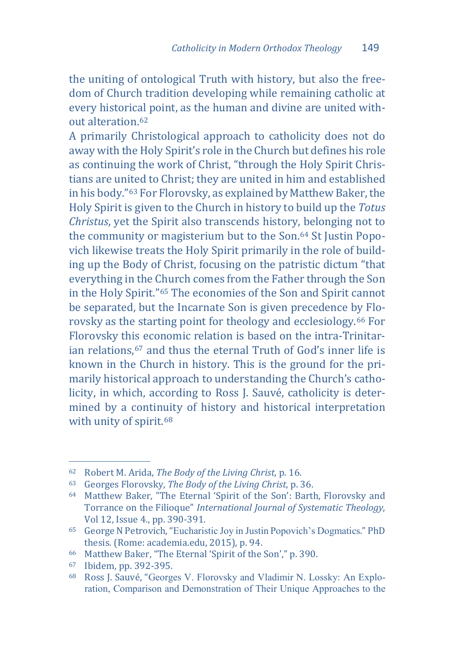the uniting of ontological Truth with history, but also the freedom of Church tradition developing while remaining catholic at every historical point, as the human and divine are united without alteration[.62](#page-13-0)

A primarily Christological approach to catholicity does not do away with the Holy Spirit's role in the Church but defines his role as continuing the work of Christ, "through the Holy Spirit Christians are united to Christ; they are united in him and established in his body."[63](#page-13-1) For Florovsky, as explained by Matthew Baker, the Holy Spirit is given to the Church in history to build up the *Totus Christus*, yet the Spirit also transcends history, belonging not to the community or magisterium but to the Son.[64](#page-13-2) St Justin Popovich likewise treats the Holy Spirit primarily in the role of building up the Body of Christ, focusing on the patristic dictum "that everything in the Church comes from the Father through the Son in the Holy Spirit."[65](#page-13-3) The economies of the Son and Spirit cannot be separated, but the Incarnate Son is given precedence by Florovsky as the starting point for theology and ecclesiology.[66](#page-13-4) For Florovsky th[is e](#page-13-5)conomic relation is based on the intra-Trinitarian relations,67 and thus the eternal Truth of God's inner life is known in the Church in history. This is the ground for the primarily historical approach to understanding the Church's catholicity, in which, according to Ross J. Sauvé, catholicity is determined by a continuity of history and historical interpretation with unity of spirit.<sup>[68](#page-13-6)</sup>

<span id="page-13-0"></span><sup>&</sup>lt;sup>62</sup> Robert M. Arida, The Body of the Living Christ, p. 16.

<span id="page-13-2"></span><span id="page-13-1"></span><sup>&</sup>lt;sup>63</sup> Georges Florovsky, *The Body of the Living Christ*, p. 36. 64 Matthew Baker. "The Eternal 'Spirit of the Son': Barth, Florovsky and

Torrance on the Filioque" *International Journal of Systematic Theology*,

<span id="page-13-3"></span><sup>&</sup>lt;sup>65</sup> George N Petrovich, "Eucharistic Joy in Justin Popovich's Dogmatics." PhD<br>thesis. (Rome: academia.edu, 2015), p. 94.

<span id="page-13-6"></span>

<span id="page-13-5"></span><span id="page-13-4"></span>thesis. (Rome: academia.edu, 2015)<br>Frame: academia.edu. 2015)<br>Frame: Bonic Son, Baker, "The Eternal 'Spirit of the Son'," p. 390.<br>Frame: Ross J. Sauvé, "Georges V. Florovsky and Vladimir N. Lossky: An Exploration, Comparison and Demonstration of Their Unique Approaches to the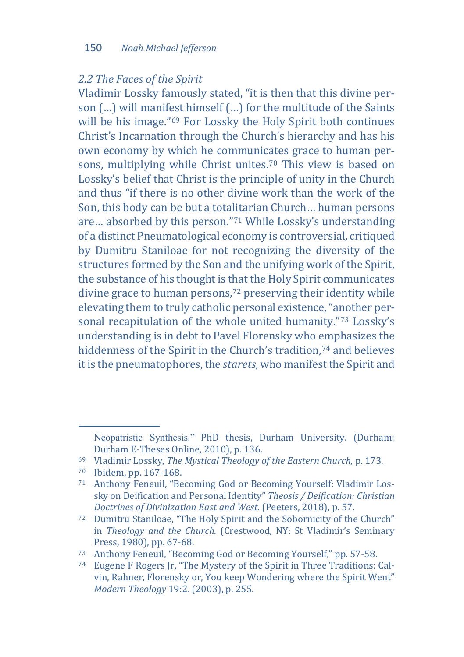### *2.2 The Faces of the Spirit*

Vladimir Lossky famously stated, "it is then that this divine person (…) will manifest himself (…) for the multitude of the Saints will be his image."<sup>[69](#page-14-0)</sup> For Lossky the Holy Spirit both continues Christ's Incarnation through the Church's hierarchy and has his own economy by which he communicates grace to human persons, multiplying while Christ unites.[70](#page-14-1) This view is based on Lossky's belief that Christ is the principle of unity in the Church and thus "if there is no other divine work than the work of the Son, this body can be but a totalitarian Church… human persons are… absorbed by this person."[71](#page-14-2) While Lossky's understanding of a distinct Pneumatological economy is controversial, critiqued by Dumitru Staniloae for not recognizing the diversity of the structures formed by the Son and the unifying work of the Spirit, the substance of his thought is that the Holy Spirit communicates divine grace to human persons,<sup>[72](#page-14-3)</sup> preserving their identity while elevating them to truly catholic personal existence, "another personal recapitulation of the whole united humanity."[73](#page-14-4) Lossky's understanding is in debt to Pavel Florensky who emphasizes the hiddenness of the Spirit in the Church's tradition,<sup>[74](#page-14-5)</sup> and believes it is the pneumatophores, the *starets*, who manifest the Spirit and

j

Neopatristic Synthesis." PhD thesis, Durham University. (Durham: Durham E-Theses Online, 2010), p. 136.

<span id="page-14-0"></span><sup>&</sup>lt;sup>69</sup> Vladimir Lossky, *The Mystical Theology of the Eastern Church*, p. 173. *To* Ibidem, pp. 167-168.

<span id="page-14-1"></span>

<span id="page-14-2"></span><sup>71</sup> Anthony Feneuil, "Becoming God or Becoming Yourself: Vladimir Lossky on Deification and Personal Identity" *Theosis / Deification: Christian* 

<span id="page-14-3"></span><sup>&</sup>lt;sup>72</sup> Dumitru Staniloae, "The Holy Spirit and the Sobornicity of the Church" in *Theology and the Church.* (Crestwood, NY: St Vladimir's Seminary Press, 1980). pp. 67-68.

<span id="page-14-4"></span><sup>&</sup>lt;sup>73</sup> Anthony Feneuil, "Becoming God or Becoming Yourself," pp. 57-58.<br><sup>74</sup> Eugene F Rogers Jr, "The Mystery of the Spirit in Three Traditions: Cal-

<span id="page-14-5"></span>vin, Rahner, Florensky or, You keep Wondering where the Spirit Went" *Modern Theology* 19:2. (2003), p. 255.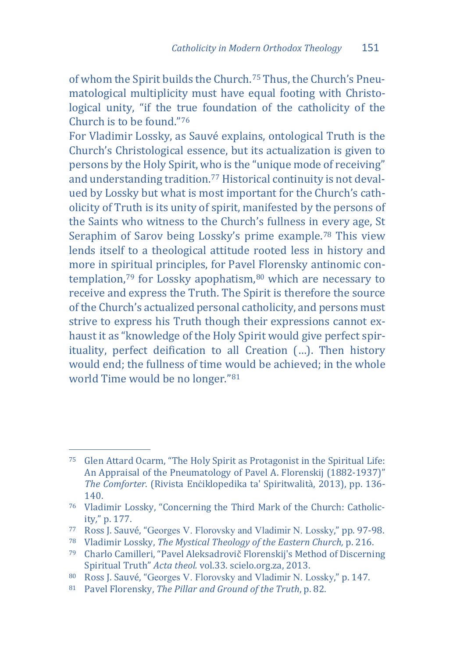of whom the Spirit builds the Church.[75](#page-15-0) Thus, the Church's Pneumatological multiplicity must have equal footing with Christological unity, "if the true foundation of the catholicity of the Church is to be found."[76](#page-15-1)

For Vladimir Lossky, as Sauvé explains, ontological Truth is the Church's Christological essence, but its actualization is given to persons by the Holy Spirit, who is the "unique mode of receiving" and understanding tradition.[77](#page-15-2) Historical continuity is not devalued by Lossky but what is most important for the Church's catholicity of Truth is its unity of spirit, manifested by the persons of the Saints who witness to the Church's fullness in every age, St Seraphim of Sarov being Lossky's prime example.[78](#page-15-3) This view lends itself to a theological attitude rooted less in history and more in spiritual principles, for Pavel [Fl](#page-15-5)orensky antinomic con-templation,<sup>[79](#page-15-4)</sup> for Lossky apophatism,<sup>80</sup> which are necessary to receive and express the Truth. The Spirit is therefore the source of the Church's actualized personal catholicity, and persons must strive to express his Truth though their expressions cannot exhaust it as "knowledge of the Holy Spirit would give perfect spirituality, perfect deification to all Creation (…). Then history would end; the fullness of time would be achieved; in the whole world Time would be no longer."[81](#page-15-6)

<span id="page-15-0"></span>j <sup>75</sup> Glen Attard Ocarm, "The Holy Spirit as Protagonist in the Spiritual Life: An Appraisal of the Pneumatology of Pavel A. Florenskij (1882-1937)" *The Comforter*. (Rivista Enċiklopedika ta' Spiritwalità, 2013), pp. 136-

<span id="page-15-1"></span><sup>&</sup>lt;sup>76</sup> Vladimir Lossky, "Concerning the Third Mark of the Church: Catholic-<br>ity." p. 177.

<span id="page-15-3"></span><span id="page-15-2"></span><sup>77</sup> Ross J. Sauvé, "Georges V. Florovsky and Vladimir N. Lossky," pp. 97-98.<br><sup>78</sup> Vladimir Lossky, *The Mystical Theology of the Eastern Church*, p. 216.<br><sup>79</sup> Charlo Camilleri, "Pavel Aleksadrovič Florenskij's Method of Dis

<span id="page-15-4"></span>Spiritual Truth" *Acta theol.* vol.33. scielo.org.za, 2013.<br><sup>80</sup> Ross I. Sauvé. "Georges V. Florovsky and Vladimir N. Lossky." p. 147.

<span id="page-15-6"></span><span id="page-15-5"></span><sup>81</sup> Pavel Florensky, The Pillar and Ground of the Truth, p. 82.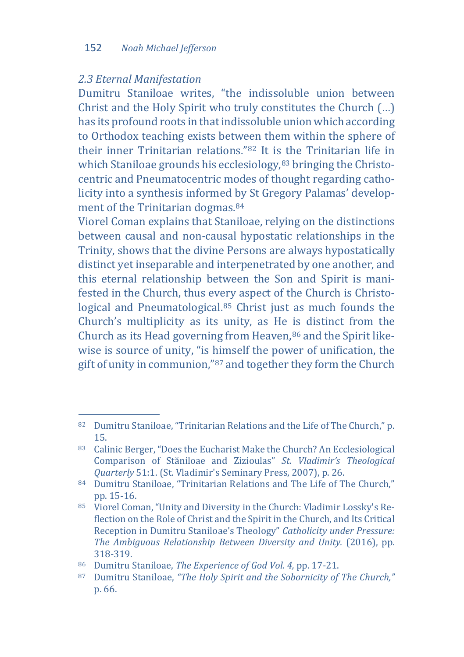#### 152 *Noah Michael Jefferson*

### *2.3 Eternal Manifestation*

Dumitru Staniloae writes, "the indissoluble union between Christ and the Holy Spirit who truly constitutes the Church (…) has its profound roots in that indissoluble union which according to Orthodox teaching exists between them within the sphere of their inner Trinitarian relations."[82](#page-16-0) It is [th](#page-16-1)e Trinitarian life in which Staniloae grounds his ecclesiology, 83 bringing the Christocentric and Pneumatocentric modes of thought regarding catholicity into a synthesis informed by St Gregory Palamas' development of the Trinitarian dogmas.<sup>84</sup>

Viorel Coman explains that Staniloae, relying on the distinctions between causal and non-causal hypostatic relationships in the Trinity, shows that the divine Persons are always hypostatically distinct yet inseparable and interpenetrated by one another, and this eternal relationship between the Son and Spirit is manifested in the Church, thus every aspect of the Church is Christological and Pneumatological.[85](#page-16-3) Christ just as much founds the Church's multiplicity as its unity, as He is distinct from the Church as its Head governing from Heaven, $86$  and the Spirit likewise is source of unity, "is himself the power of unification, the gift of unity in communion,"[87](#page-16-5) and together they form the Church

<span id="page-16-0"></span>j <sup>82</sup> Dumitru Staniloae, "Trinitarian Relations and the Life of The Church," p. 15. 83 Calinic Berger, "Does the Eucharist Make the Church? An Ecclesiological

<span id="page-16-1"></span>Comparison of Stăniloae and Zizioulas" *St. Vladimir's Theological* 

<span id="page-16-2"></span><sup>&</sup>lt;sup>84</sup> Dumitru Staniloae, "Trinitarian Relations and The Life of The Church," pp. 15-16.

<span id="page-16-3"></span><sup>85</sup> Viorel Coman, "Unity and Diversity in the Church: Vladimir Lossky's Reflection on the Role of Christ and the Spirit in the Church, and Its Critical Reception in Dumitru Staniloae's Theology" *Catholicity under Pressure: The Ambiguous Relationship Between Diversity and Unity.* (2016), pp.

<span id="page-16-5"></span><span id="page-16-4"></span><sup>318-319. 86</sup> Dumitru Staniloae, *The Experience of God Vol. 4,* pp. 17-21. 87 Dumitru Staniloae, *"The Holy Spirit and the Sobornicity of The Church,"*  p. 66.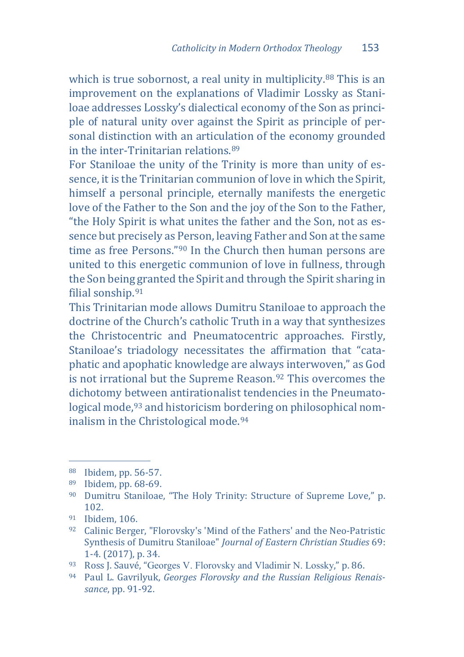which is true sobornost, a real unity in multiplicity.<sup>[88](#page-17-0)</sup> This is an improvement on the explanations of Vladimir Lossky as Staniloae addresses Lossky's dialectical economy of the Son as principle of natural unity over against the Spirit as principle of personal distinction with an articulation of the economy grounded in the inter-Trinitarian relations.[89](#page-17-1)

For Staniloae the unity of the Trinity is more than unity of essence, it is the Trinitarian communion of love in which the Spirit, himself a personal principle, eternally manifests the energetic love of the Father to the Son and the joy of the Son to the Father, "the Holy Spirit is what unites the father and the Son, not as essence but precisely as Person, leaving Father and Son at the same time as free Persons."[90](#page-17-2) In the Church then human persons are united to this energetic communion of love in fullness, through the Son being granted the Spirit and through the Spirit sharing in filial sonship.[91](#page-17-3)

This Trinitarian mode allows Dumitru Staniloae to approach the doctrine of the Church's catholic Truth in a way that synthesizes the Christocentric and Pneumatocentric approaches. Firstly, Staniloae's triadology necessitates the affirmation that "cataphatic and apophatic knowledge are always interwoven," as God is not irrational but the Supreme Reason.[92](#page-17-4) This overcomes the dichotomy between antirationalist tendencies in the Pneumatological mode,<sup>93</sup> and historicism bordering on philosophical nom-inalism in the Christological mode.<sup>[94](#page-17-6)</sup>

<span id="page-17-0"></span><sup>&</sup>lt;sup>88</sup> Ibidem, pp. 56-57.

<span id="page-17-2"></span><span id="page-17-1"></span><sup>&</sup>lt;sup>89</sup> Ibidem, pp. 68-69.<br><sup>90</sup> Dumitru Staniloae, "The Holy Trinity: Structure of Supreme Love," p.<br>102

<span id="page-17-4"></span><span id="page-17-3"></span><sup>&</sup>lt;sup>91</sup> Ibidem, 106. 92. 0106. **92** Calinic Berger, "Florovsky's 'Mind of the Fathers' and the Neo-Patristic Synthesis of Dumitru Staniloae" *Journal of Eastern Christian Studies* 69:

<span id="page-17-6"></span><span id="page-17-5"></span><sup>&</sup>lt;sup>93</sup> Ross J. Sauvé, "Georges V. Florovsky and Vladimir N. Lossky," p. 86. <sup>94</sup> Paul L. Gavrilyuk, *Georges Florovsky and the Russian Religious Renais-*

*sance*, pp. 91-92.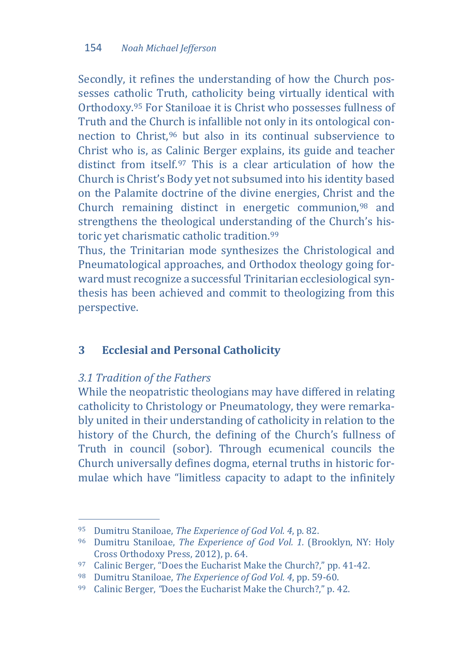Secondly, it refines the understanding of how the Church possesses catholic Truth, catholicity being virtually identical with Orthodoxy[.95](#page-18-0) For Staniloae it is Christ who possesses fullness of Truth and the Chu[rc](#page-18-1)h is infallible not only in its ontological connection to Christ,96 but also in its continual subservience to Christ who is, as Calinic Berger explains, its guide and teacher distinct from itself.[97](#page-18-2) This is a clear articulation of how the Church is Christ's Body yet not subsumed into his identity based on the Palamite doctrine of the divine energies, Christ and the Church remaining distinct in energetic communion,[98](#page-18-3) and strengthens the theological understanding of the Church's historic yet charismatic catholic tradition.[99](#page-18-4)

Thus, the Trinitarian mode synthesizes the Christological and Pneumatological approaches, and Orthodox theology going forward must recognize a successful Trinitarian ecclesiological synthesis has been achieved and commit to theologizing from this perspective.

# **3 Ecclesial and Personal Catholicity**

## *3.1 Tradition of the Fathers*

While the neopatristic theologians may have differed in relating catholicity to Christology or Pneumatology, they were remarkably united in their understanding of catholicity in relation to the history of the Church, the defining of the Church's fullness of Truth in council (sobor). Through ecumenical councils the Church universally defines dogma, eternal truths in historic formulae which have "limitless capacity to adapt to the infinitely

<span id="page-18-0"></span><sup>&</sup>lt;sup>95</sup> Dumitru Staniloae, The Experience of God Vol. 4, p. 82.

<span id="page-18-1"></span><sup>&</sup>lt;sup>96</sup> Dumitru Staniloae, *The Experience of God Vol. 1*. (Brooklyn, NY: Holy Cross Orthodoxy Press, 2012), p. 64.

<span id="page-18-2"></span><sup>&</sup>lt;sup>97</sup> Calinic Berger, "Does the Eucharist Make the Church?," pp. 41-42.<br><sup>98</sup> Dumitru Staniloae, *The Experience of God Vol. 4*, pp. 59-60.<br><sup>99</sup> Calinic Berger, "Does the Eucharist Make the Church?," p. 42.

<span id="page-18-3"></span>

<span id="page-18-4"></span>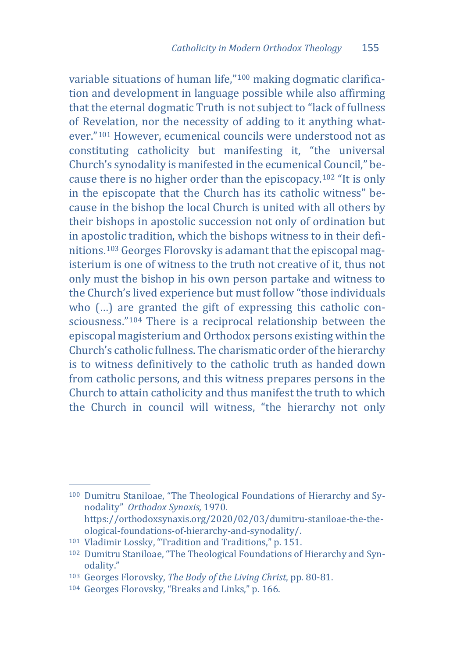variable situations of human life,"[100](#page-19-0) making dogmatic clarification and development in language possible while also affirming that the eternal dogmatic Truth is not subject to "lack of fullness of Revelation, nor the necessity of adding to it anything whatever."[101](#page-19-1) However, ecumenical councils were understood not as constituting catholicity but manifesting it, "the universal Church's synodality is manifested in the ecumenical Council," because there is no higher order than the episcopacy.[102](#page-19-2) "It is only in the episcopate that the Church has its catholic witness" because in the bishop the local Church is united with all others by their bishops in apostolic succession not only of ordination but in apostolic tradition, which the bishops witness to in their definitions.[103](#page-19-3) Georges Florovsky is adamant that the episcopal magisterium is one of witness to the truth not creative of it, thus not only must the bishop in his own person partake and witness to the Church's lived experience but must follow "those individuals who (…) are granted the gift of expressing this catholic consciousness."[104](#page-19-4) There is a reciprocal relationship between the episcopal magisterium and Orthodox persons existing within the Church's catholic fullness. The charismatic order of the hierarchy is to witness definitively to the catholic truth as handed down from catholic persons, and this witness prepares persons in the Church to attain catholicity and thus manifest the truth to which the Church in council will witness, "the hierarchy not only

<span id="page-19-0"></span>j <sup>100</sup> Dumitru Staniloae, "The Theological Foundations of Hierarchy and Synodality" *Orthodox Synaxis,* 1970. https://orthodoxsynaxis.org/2020/02/03/dumitru-staniloae-the-theological-foundations-of-hierarchy-and-synodality/.<br><sup>101</sup> Vladimir Lossky, "Tradition and Traditions," p. 151.

<span id="page-19-2"></span><span id="page-19-1"></span><sup>&</sup>lt;sup>102</sup> Dumitru Staniloae, "The Theological Foundations of Hierarchy and Syn-odality."

<span id="page-19-3"></span><sup>&</sup>lt;sup>103</sup> Georges Florovsky, *The Body of the Living Christ*, pp. 80-81.<br><sup>104</sup> Georges Florovsky, "Breaks and Links," p. 166.

<span id="page-19-4"></span>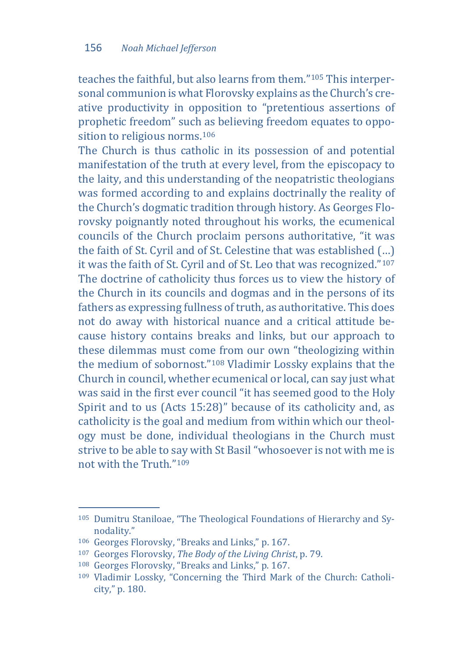teaches the faithful, but also learns from them.["105](#page-20-0) This interpersonal communion is what Florovsky explains as the Church's creative productivity in opposition to "pretentious assertions of prophetic freedom" such as believing freedom equates to opposition to religious norms.[106](#page-20-1)

The Church is thus catholic in its possession of and potential manifestation of the truth at every level, from the episcopacy to the laity, and this understanding of the neopatristic theologians was formed according to and explains doctrinally the reality of the Church's dogmatic tradition through history. As Georges Florovsky poignantly noted throughout his works, the ecumenical councils of the Church proclaim persons authoritative, "it was the faith of St. Cyril and of St. Celestine that was established (…) it was the faith of St. Cyril and of St. Leo that was recognized."[107](#page-20-2) The doctrine of catholicity thus forces us to view the history of the Church in its councils and dogmas and in the persons of its fathers as expressing fullness of truth, as authoritative. This does not do away with historical nuance and a critical attitude because history contains breaks and links, but our approach to these dilemmas must come from our own "theologizing within the medium of sobornost."[108](#page-20-3) Vladimir Lossky explains that the Church in council, whether ecumenical or local, can say just what was said in the first ever council "it has seemed good to the Holy Spirit and to us (Acts 15:28)" because of its catholicity and, as catholicity is the goal and medium from within which our theology must be done, individual theologians in the Church must strive to be able to say with St Basil "whosoever is not with me is not with the Truth."[109](#page-20-4)

<span id="page-20-0"></span>j <sup>105</sup> Dumitru Staniloae, "The Theological Foundations of Hierarchy and Synodality."<br><sup>106</sup> Georges Florovsky, "Breaks and Links," p. 167.<br><sup>107</sup> Georges Florovsky, *The Body of the Living Christ*, p. 79.<br><sup>108</sup> Georges Florovsky, "Breaks and Links," p. 167.

<span id="page-20-1"></span>

<span id="page-20-2"></span>

<span id="page-20-4"></span><span id="page-20-3"></span><sup>109</sup> Vladimir Lossky, "Concerning the Third Mark of the Church: Catholicity," p. 180.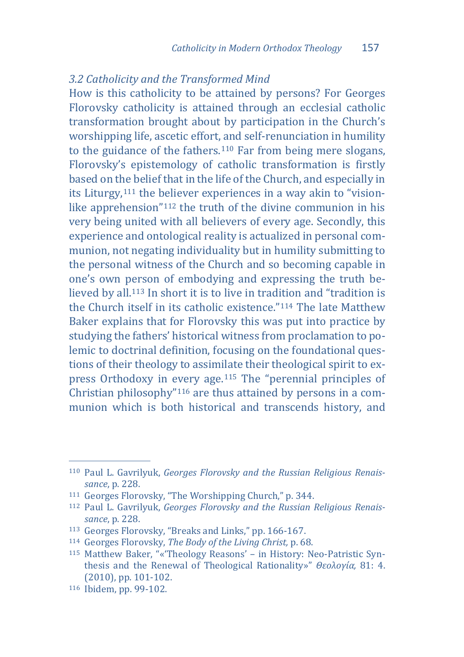### *3.2 Catholicity and the Transformed Mind*

How is this catholicity to be attained by persons? For Georges Florovsky catholicity is attained through an ecclesial catholic transformation brought about by participation in the Church's worshipping life, ascetic effort, and self-renunciation in humility to the guidance of the fathers.[110](#page-21-0) Far from being mere slogans, Florovsky's epistemology of catholic transformation is firstly based on the belief that in the life of the Church, and especially in its Liturgy,[111](#page-21-1) the believer experiences in a way akin to "visionlike apprehension"[112](#page-21-2) the truth of the divine communion in his very being united with all believers of every age. Secondly, this experience and ontological reality is actualized in personal communion, not negating individuality but in humility submitting to the personal witness of the Church and so becoming capable in one's own person of embodying and expressing the truth believed by all[.113](#page-21-3) In short it is to live in tradition and "tradition is the Church itself in its catholic existence."[114](#page-21-4) The late Matthew Baker explains that for Florovsky this was put into practice by studying the fathers' historical witness from proclamation to polemic to doctrinal definition, focusing on the foundational questions of their theology to assimilate their theological spirit to express Orthodoxy in every age.[115](#page-21-5) The "perennial principles of Christian philosophy"[116](#page-21-6) are thus attained by persons in a communion which is both historical and transcends history, and

<span id="page-21-0"></span>j <sup>110</sup> Paul L. Gavrilyuk, *Georges Florovsky and the Russian Religious Renaissance*, p. 228. 111 Georges Florovsky, "The Worshipping Church," p. 344. 112 Paul L. Gavrilyuk, *Georges Florovsky and the Russian Religious Renais-*

<span id="page-21-1"></span>

<span id="page-21-2"></span>*sance*, p. 228.<br><sup>113</sup> Georges Florovsky. "Breaks and Links." pp. 166-167.

<span id="page-21-3"></span>

<span id="page-21-5"></span><span id="page-21-4"></span><sup>&</sup>lt;sup>114</sup> Georges Florovsky, *The Body of the Living Christ*, p. 68.<br><sup>115</sup> Matthew Baker, "«'Theology Reasons' – in History: Neo-Patristic Synthesis and the Renewal of Theological Rationality»" *Θεολογία,* 81: 4.

<span id="page-21-6"></span><sup>116</sup> Ibidem, pp. 99-102.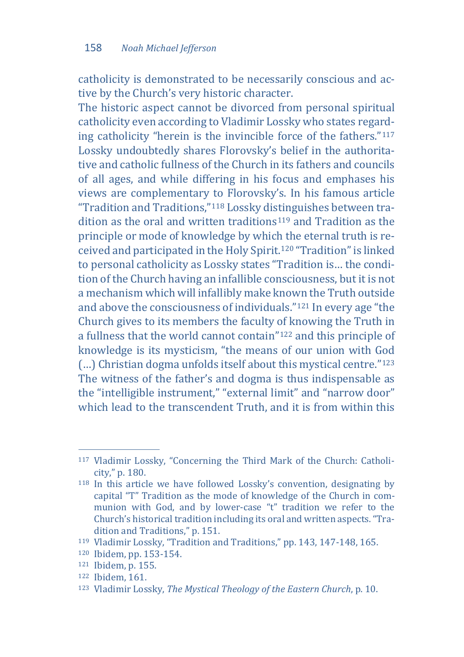catholicity is demonstrated to be necessarily conscious and active by the Church's very historic character.

The historic aspect cannot be divorced from personal spiritual catholicity even according to Vladimir Lossky who states regarding catholicity "herein is the invincible force of the fathers."[117](#page-22-0) Lossky undoubtedly shares Florovsky's belief in the authoritative and catholic fullness of the Church in its fathers and councils of all ages, and while differing in his focus and emphases his views are complementary to Florovsky's. In his famous article "Tradition and Traditions,"[118](#page-22-1) Lossky distinguishes between tra-dition as the oral and written traditions<sup>[119](#page-22-2)</sup> and Tradition as the principle or mode of knowledge by which the eternal truth is received and participated in the Holy Spirit.[120](#page-22-3) "Tradition" is linked to personal catholicity as Lossky states "Tradition is… the condition of the Church having an infallible consciousness, but it is not a mechanism which will infallibly make known the Truth outside and above the consciousness of individuals."[121](#page-22-4) In every age "the Church gives to its members the faculty of knowing the Truth in a fullness that the world cannot contain"[122](#page-22-5) and this principle of knowledge is its mysticism, "the means of our union with God (…) Christian dogma unfolds itself about this mystical centre."[123](#page-22-6) The witness of the father's and dogma is thus indispensable as the "intelligible instrument," "external limit" and "narrow door" which lead to the transcendent Truth, and it is from within this

<span id="page-22-0"></span>j <sup>117</sup> Vladimir Lossky, "Concerning the Third Mark of the Church: Catholicity," p. 180.

<span id="page-22-1"></span><sup>118</sup> In this article we have followed Lossky's convention, designating by capital "T" Tradition as the mode of knowledge of the Church in communion with God, and by lower-case "t" tradition we refer to the Church's historical tradition including its oral and written aspects. "Tra-

<span id="page-22-3"></span><span id="page-22-2"></span><sup>&</sup>lt;sup>119</sup> Vladimir Lossky, "Tradition and Traditions," pp. 143, 147-148, 165.<br><sup>120</sup> Ibidem, pp. 153-154.<br><sup>121</sup> Ibidem, p. 155.<br><sup>122</sup> Ibidem, 161.<br><sup>123</sup> Vladimir Lossky, *The Mystical Theology of the Eastern Church*, p. 10.

<span id="page-22-4"></span>

<span id="page-22-5"></span>

<span id="page-22-6"></span>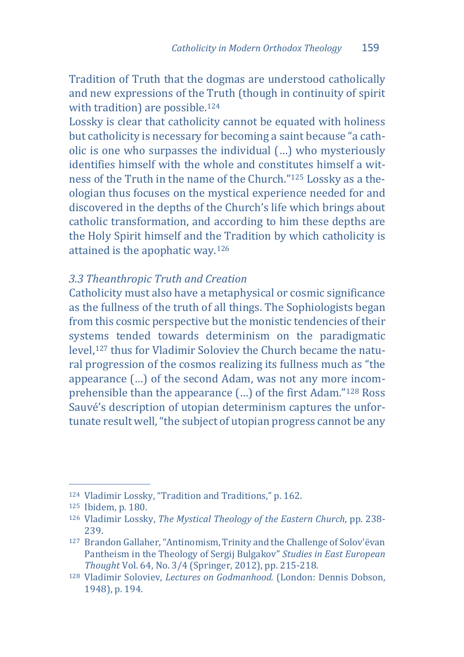Tradition of Truth that the dogmas are understood catholically and new expressions of the Truth (though in continuity of spirit with tradition) are possible.<sup>[124](#page-23-0)</sup>

Lossky is clear that catholicity cannot be equated with holiness but catholicity is necessary for becoming a saint because "a catholic is one who surpasses the individual (…) who mysteriously identifies himself with the whole and constitutes himself a witness of the Truth in the name of the Church."[125](#page-23-1) Lossky as a theologian thus focuses on the mystical experience needed for and discovered in the depths of the Church's life which brings about catholic transformation, and according to him these depths are the Holy Spirit himself and the Tradition by which catholicity is attained is the apophatic way.[126](#page-23-2)

# *3.3 Theanthropic Truth and Creation*

Catholicity must also have a metaphysical or cosmic significance as the fullness of the truth of all things. The Sophiologists began from this cosmic perspective but the monistic tendencies of their systems tended towards determinism on the paradigmatic level,[127](#page-23-3) thus for Vladimir Soloviev the Church became the natural progression of the cosmos realizing its fullness much as "the appearance (…) of the second Adam, was not any more incomprehensible than the appearance (…) of the first Adam."[128](#page-23-4) Ross Sauvé's description of utopian determinism captures the unfortunate result well, "the subject of utopian progress cannot be any

<span id="page-23-0"></span><sup>&</sup>lt;sup>124</sup> Vladimir Lossky, "Tradition and Traditions," p. 162.

<span id="page-23-2"></span><span id="page-23-1"></span><sup>&</sup>lt;sup>125</sup> Ibidem, p. 180.<br><sup>126</sup> Vladimir Lossky, *The Mystical Theology of the Eastern Church*, pp. 238-<br>239.

<span id="page-23-3"></span><sup>&</sup>lt;sup>127</sup> Brandon Gallaher, "Antinomism, Trinity and the Challenge of Solov'ëvan Pantheism in the Theology of Sergij Bulgakov" *Studies in East European* 

<span id="page-23-4"></span><sup>&</sup>lt;sup>128</sup> Vladimir Soloviev, *Lectures on Godmanhood.* (London: Dennis Dobson, 1948), p. 194.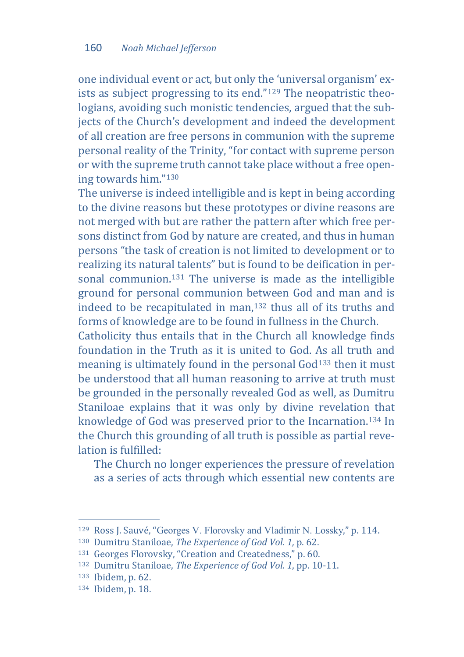one individual event or act, but only the 'universal organism' exists as subject progressing to its end."[129](#page-24-0) The neopatristic theologians, avoiding such monistic tendencies, argued that the subjects of the Church's development and indeed the development of all creation are free persons in communion with the supreme personal reality of the Trinity, "for contact with supreme person or with the supreme truth cannot take place without a free opening towards him."[130](#page-24-1)

The universe is indeed intelligible and is kept in being according to the divine reasons but these prototypes or divine reasons are not merged with but are rather the pattern after which free persons distinct from God by nature are created, and thus in human persons "the task of creation is not limited to development or to realizing its natural talents" but is found to be deification in per-sonal communion.<sup>[131](#page-24-2)</sup> The universe is made as the intelligible ground for personal communion between God and man and is indeed to be recapitulated in man,[132](#page-24-3) thus all of its truths and forms of knowledge are to be found in fullness in the Church.

Catholicity thus entails that in the Church all knowledge finds foundation in the Truth as it is united to God. As all truth and meaning is ultimately found in the personal God<sup>133</sup> then it must be understood that all human reasoning to arrive at truth must be grounded in the personally revealed God as well, as Dumitru Staniloae explains that it was only by divine revelation that knowledge of God was preserved prior to the Incarnation.[134](#page-24-5) In the Church this grounding of all truth is possible as partial revelation is fulfilled:

The Church no longer experiences the pressure of revelation as a series of acts through which essential new contents are

<span id="page-24-1"></span><span id="page-24-0"></span><sup>&</sup>lt;sup>129</sup> Ross J. Sauvé, "Georges V. Florovsky and Vladimir N. Lossky," p. 114.

<span id="page-24-3"></span><span id="page-24-2"></span>

<sup>&</sup>lt;sup>130</sup> Dumitru Staniloae, *The Experience of God Vol.* 1, p. 62.<br><sup>131</sup> Georges Florovsky, "Creation and Createdness," p. 60.<br><sup>132</sup> Dumitru Staniloae, *The Experience of God Vol.* 1, pp. 10-11.<br><sup>133</sup> Ibidem, p. 62.

<span id="page-24-4"></span>

<span id="page-24-5"></span>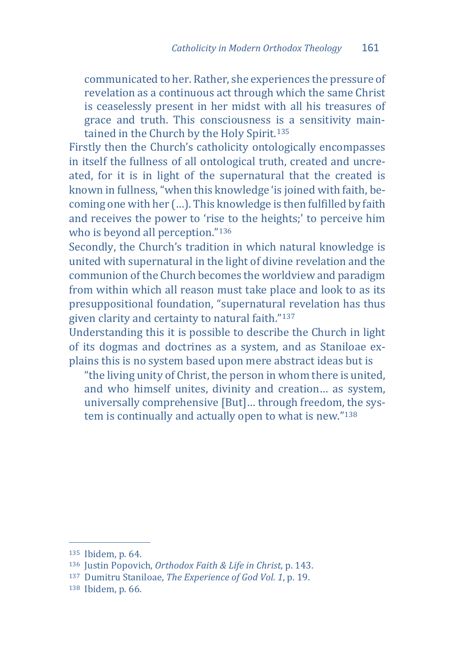communicated to her. Rather, she experiences the pressure of revelation as a continuous act through which the same Christ is ceaselessly present in her midst with all his treasures of grace and truth. This consciousness is a sensitivity main-tained in the Church by the Holy Spirit.<sup>[135](#page-25-0)</sup>

Firstly then the Church's catholicity ontologically encompasses in itself the fullness of all ontological truth, created and uncreated, for it is in light of the supernatural that the created is known in fullness, "when this knowledge 'is joined with faith, becoming one with her (…). This knowledge is then fulfilled by faith and receives the power to 'rise to the heights;' to perceive him who is beyond all perception."<sup>[136](#page-25-1)</sup>

Secondly, the Church's tradition in which natural knowledge is united with supernatural in the light of divine revelation and the communion of the Church becomes the worldview and paradigm from within which all reason must take place and look to as its presuppositional foundation, "supernatural revelation has thus given clarity and certainty to natural faith.["137](#page-25-2)

Understanding this it is possible to describe the Church in light of its dogmas and doctrines as a system, and as Staniloae explains this is no system based upon mere abstract ideas but is

"the living unity of Christ, the person in whom there is united, and who himself unites, divinity and creation… as system, universally comprehensive [But]… through freedom, the system is continually and actually open to what is new."[138](#page-25-3)

<span id="page-25-0"></span>j <sup>135</sup> Ibidem, p. 64.

<span id="page-25-2"></span><span id="page-25-1"></span><sup>136</sup> Justin Popovich, *Orthodox Faith & Life in Christ*, p. 143. 137 Dumitru Staniloae, *The Experience of God Vol. 1*, p. 19. 138 Ibidem, p. 66.

<span id="page-25-3"></span>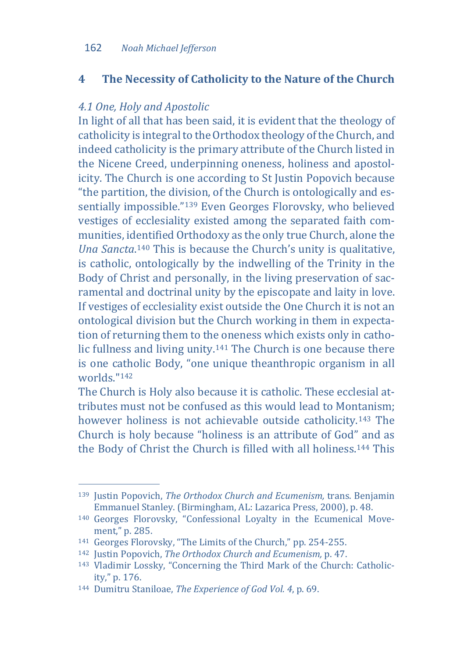# **4 The Necessity of Catholicity to the Nature of the Church**

# *4.1 One, Holy and Apostolic*

In light of all that has been said, it is evident that the theology of catholicity is integral to the Orthodox theology of the Church, and indeed catholicity is the primary attribute of the Church listed in the Nicene Creed, underpinning oneness, holiness and apostolicity. The Church is one according to St Justin Popovich because "the partition, the division, of the Church is ontologically and essentially impossible.["139](#page-26-0) Even Georges Florovsky, who believed vestiges of ecclesiality existed among the separated faith communities, identified Orthodoxy as the only true Church, alone the *Una Sancta*.[140](#page-26-1) This is because the Church's unity is qualitative, is catholic, ontologically by the indwelling of the Trinity in the Body of Christ and personally, in the living preservation of sacramental and doctrinal unity by the episcopate and laity in love. If vestiges of ecclesiality exist outside the One Church it is not an ontological division but the Church working in them in expectation of returning them to the oneness which exists only in catholic fullness and living unity.[141](#page-26-2) The Church is one because there is one catholic Body, "one unique theanthropic organism in all worlds."[142](#page-26-3)

The Church is Holy also because it is catholic. These ecclesial attributes must not be confused as this would lead to Montanism; however holiness is not achievable outside catholicity[.143](#page-26-4) The Church is holy because "holiness is an attribute of God" and as the Body of Christ the Church is filled with all holiness.[144](#page-26-5) This

<span id="page-26-0"></span>j <sup>139</sup> Justin Popovich, *The Orthodox Church and Ecumenism,* trans. Benjamin

<span id="page-26-1"></span>Emmanuel Stanley. (Birmingham, AL: Lazarica Press, 2000), p. 48.<br><sup>140</sup> Georges Florovsky, "Confessional Loyalty in the Ecumenical Move-<br>ment." p. 285.

<span id="page-26-2"></span>

<span id="page-26-4"></span><span id="page-26-3"></span>

<sup>&</sup>lt;sup>141</sup> Georges Florovsky, "The Limits of the Church," pp. 254-255.<br><sup>142</sup> Justin Popovich, *The Orthodox Church and Ecumenism*, p. 47.<br><sup>143</sup> Vladimir Lossky, "Concerning the Third Mark of the Church: Catholic-<br>ity," p. 176.

<span id="page-26-5"></span><sup>144</sup> Dumitru Staniloae, *The Experience of God Vol. 4*, p. 69.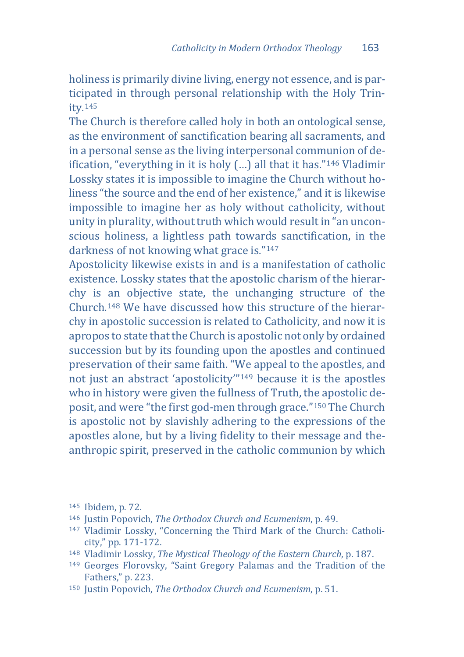holiness is primarily divine living, energy not essence, and is participated in through personal relationship with the Holy Trinity.[145](#page-27-0)

The Church is therefore called holy in both an ontological sense, as the environment of sanctification bearing all sacraments, and in a personal sense as the living interpersonal communion of deification, "everything in it is holy (…) all that it has."[146](#page-27-1) Vladimir Lossky states it is impossible to imagine the Church without holiness "the source and the end of her existence," and it is likewise impossible to imagine her as holy without catholicity, without unity in plurality, without truth which would result in "an unconscious holiness, a lightless path towards sanctification, in the darkness of not knowing what grace is."[147](#page-27-2)

Apostolicity likewise exists in and is a manifestation of catholic existence. Lossky states that the apostolic charism of the hierarchy is an objective state, the unchanging structure of the Church.[148](#page-27-3) We have discussed how this structure of the hierarchy in apostolic succession is related to Catholicity, and now it is apropos to state that the Church is apostolic not only by ordained succession but by its founding upon the apostles and continued preservation of their same faith. "We appeal to the apostles, and not just an abstract 'apostolicity'"[149](#page-27-4) because it is the apostles who in history were given the fullness of Truth, the apostolic deposit, and were "the first god-men through grace."[150](#page-27-5) The Church is apostolic not by slavishly adhering to the expressions of the apostles alone, but by a living fidelity to their message and theanthropic spirit, preserved in the catholic communion by which

<span id="page-27-0"></span><sup>145</sup> Ibidem, p. 72.

<span id="page-27-2"></span><span id="page-27-1"></span><sup>&</sup>lt;sup>146</sup> Justin Popovich, *The Orthodox Church and Ecumenism*, p. 49.<br><sup>147</sup> Vladimir Lossky, "Concerning the Third Mark of the Church: Catholi-<br>city." pp. 171-172.

<span id="page-27-3"></span><sup>&</sup>lt;sup>148</sup> Vladimir Lossky, *The Mystical Theology of the Eastern Church*, p. 187.<br><sup>149</sup> Georges Florovsky, "Saint Gregory Palamas and the Tradition of the

<span id="page-27-4"></span>Fathers," p. 223.

<span id="page-27-5"></span><sup>150</sup> Justin Popovich, *The Orthodox Church and Ecumenism*, p. 51.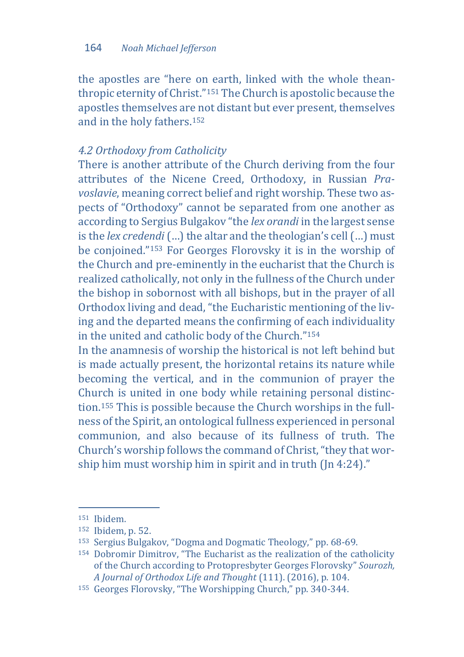the apostles are "here on earth, linked with the whole theanthropic eternity of Christ."[151](#page-28-0) The Church is apostolic because the apostles themselves are not distant but ever present, themselves and in the holy fathers.[152](#page-28-1)

## *4.2 Orthodoxy from Catholicity*

There is another attribute of the Church deriving from the four attributes of the Nicene Creed, Orthodoxy, in Russian *Pravoslavie*, meaning correct belief and right worship. These two aspects of "Orthodoxy" cannot be separated from one another as according to Sergius Bulgakov "the *lex orandi* in the largest sense is the *lex credendi* (...) the altar and the theologian's cell (...) must be conjoined."[153](#page-28-2) For Georges Florovsky it is in the worship of the Church and pre-eminently in the eucharist that the Church is realized catholically, not only in the fullness of the Church under the bishop in sobornost with all bishops, but in the prayer of all Orthodox living and dead, "the Eucharistic mentioning of the living and the departed means the confirming of each individuality in the united and catholic body of the Church."[154](#page-28-3)

In the anamnesis of worship the historical is not left behind but is made actually present, the horizontal retains its nature while becoming the vertical, and in the communion of prayer the Church is united in one body while retaining personal distinction[.155](#page-28-4) This is possible because the Church worships in the fullness of the Spirit, an ontological fullness experienced in personal communion, and also because of its fullness of truth. The Church's worship follows the command of Christ, "they that worship him must worship him in spirit and in truth (Jn 4:24)."

<span id="page-28-0"></span><sup>151</sup> Ibidem.

<span id="page-28-2"></span><span id="page-28-1"></span><sup>&</sup>lt;sup>152</sup> Ibidem, p. 52.<br><sup>153</sup> Sergius Bulgakov, "Dogma and Dogmatic Theology," pp. 68-69.<br><sup>154</sup> Dobromir Dimitrov, "The Eucharist as the realization of the catholicity

<span id="page-28-3"></span>of the Church according to Protopresbyter Georges Florovsky" *Sourozh,* 

<span id="page-28-4"></span><sup>&</sup>lt;sup>155</sup> Georges Florovsky, "The Worshipping Church," pp. 340-344.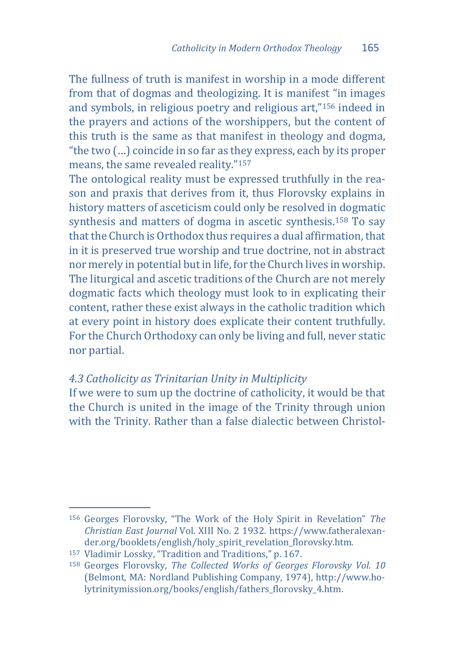The fullness of truth is manifest in worship in a mode different from that of dogmas and theologizing. It is manifest "in images and symbols, in religious poetry and religious art,"[156](#page-29-0) indeed in the prayers and actions of the worshippers, but the content of this truth is the same as that manifest in theology and dogma, "the two (…) coincide in so far as they express, each by its proper means, the same revealed reality."[157](#page-29-1)

The ontological reality must be expressed truthfully in the reason and praxis that derives from it, thus Florovsky explains in history matters of asceticism could only be resolved in dogmatic synthesis and matters of dogma in ascetic synthesis[.158](#page-29-2) To say that the Church is Orthodox thus requires a dual affirmation, that in it is preserved true worship and true doctrine, not in abstract nor merely in potential but in life, for the Church lives in worship. The liturgical and ascetic traditions of the Church are not merely dogmatic facts which theology must look to in explicating their content, rather these exist always in the catholic tradition which at every point in history does explicate their content truthfully. For the Church Orthodoxy can only be living and full, never static nor partial.

# *4.3 Catholicity as Trinitarian Unity in Multiplicity*

If we were to sum up the doctrine of catholicity, it would be that the Church is united in the image of the Trinity through union with the Trinity. Rather than a false dialectic between Christol-

<span id="page-29-0"></span>j <sup>156</sup> Georges Florovsky, "The Work of the Holy Spirit in Revelation" *The Christian East Journal* Vol. XIII No. 2 1932. https://www.fatheralexander.org/booklets/english/holy\_spirit\_revelation\_florovsky.htm.<br><sup>157</sup> Vladimir Lossky, "Tradition and Traditions," p. 167.

<span id="page-29-1"></span>

<span id="page-29-2"></span><sup>&</sup>lt;sup>158</sup> Georges Florovsky, The Collected Works of Georges Florovsky Vol. 10 (Belmont, MA: Nordland Publishing Company, 1974), http://www.holytrinitymission.org/books/english/fathers\_florovsky\_4.htm.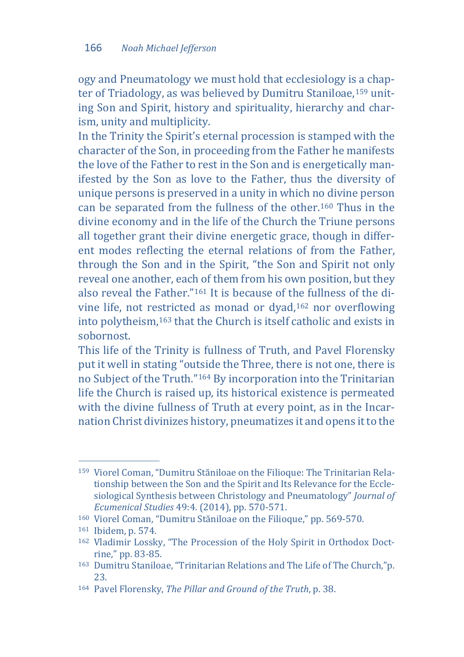ogy and Pneumatology we must hold that ecclesiology is a chapter of Triadology, as was believed by Dumitru Staniloae,[159](#page-30-0) uniting Son and Spirit, history and spirituality, hierarchy and charism, unity and multiplicity.

In the Trinity the Spirit's eternal procession is stamped with the character of the Son, in proceeding from the Father he manifests the love of the Father to rest in the Son and is energetically manifested by the Son as love to the Father, thus the diversity of unique persons is preserved in a unity in which no divine person can be separated from the fullness of the other.[160](#page-30-1) Thus in the divine economy and in the life of the Church the Triune persons all together grant their divine energetic grace, though in different modes reflecting the eternal relations of from the Father, through the Son and in the Spirit, "the Son and Spirit not only reveal one another, each of them from his own position, but they also reveal the Father."[161](#page-30-2) It is because of the fullness of the divine life, not re[stri](#page-30-4)cted as monad or dyad,[162](#page-30-3) nor overflowing into polytheism,163 that the Church is itself catholic and exists in sobornost.

This life of the Trinity is fullness of Truth, and Pavel Florensky put it well in stating "outside the Three, there is not one, there is no Subject of the Truth.["164](#page-30-5) By incorporation into the Trinitarian life the Church is raised up, its historical existence is permeated with the divine fullness of Truth at every point, as in the Incarnation Christ divinizes history, pneumatizes it and opens it to the

<span id="page-30-0"></span>j <sup>159</sup> Viorel Coman, "Dumitru Stăniloae on the Filioque: The Trinitarian Relationship between the Son and the Spirit and Its Relevance for the Ecclesiological Synthesis between Christology and Pneumatology" *Journal of* 

<span id="page-30-3"></span><span id="page-30-2"></span>

<span id="page-30-1"></span><sup>&</sup>lt;sup>160</sup> Viorel Coman, "Dumitru Stăniloae on the Filioque," pp. 569-570.<br><sup>161</sup> Ibidem, p. 574.<br><sup>162</sup> Vladimir Lossky, "The Procession of the Holy Spirit in Orthodox Doct-<br>rine," pp. 83-85.

<span id="page-30-4"></span><sup>163</sup> Dumitru Staniloae, "Trinitarian Relations and The Life of The Church,"p. 23. 164 Pavel Florensky, *The Pillar and Ground of the Truth*, p. 38.

<span id="page-30-5"></span>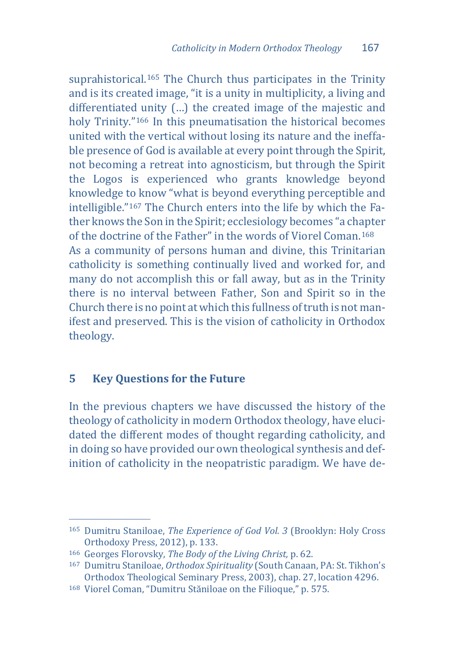suprahistorical.<sup>[165](#page-31-0)</sup> The Church thus participates in the Trinity and is its created image, "it is a unity in multiplicity, a living and differentiated unity (…) the created image of the majestic and holy Trinity."[166](#page-31-1) In this pneumatisation the historical becomes united with the vertical without losing its nature and the ineffable presence of God is available at every point through the Spirit, not becoming a retreat into agnosticism, but through the Spirit the Logos is experienced who grants knowledge beyond knowledge to know "what is beyond everything perceptible and intelligible."[167](#page-31-2) The Church enters into the life by which the Father knows the Son in the Spirit; ecclesiology becomes "a chapter of the doctrine of the Father" in the words of Viorel Coman.[168](#page-31-3) As a community of persons human and divine, this Trinitarian catholicity is something continually lived and worked for, and many do not accomplish this or fall away, but as in the Trinity there is no interval between Father, Son and Spirit so in the Church there is no point at which this fullness of truth is not manifest and preserved. This is the vision of catholicity in Orthodox theology.

# **5 Key Questions for the Future**

In the previous chapters we have discussed the history of the theology of catholicity in modern Orthodox theology, have elucidated the different modes of thought regarding catholicity, and in doing so have provided our own theological synthesis and definition of catholicity in the neopatristic paradigm. We have de-

j <sup>165</sup> Dumitru Staniloae, *The Experience of God Vol. 3* (Brooklyn: Holy Cross

<span id="page-31-2"></span><span id="page-31-1"></span>

<span id="page-31-0"></span>Orthodoxy Press, 2012), p. 133.<br>
166 Georges Florovsky, *The Body of the Living Christ*, p. 62.<br>
167 Dumitru Staniloae, *Orthodox Spirituality* (South Canaan, PA: St. Tikhon's<br>
0rthodox Theological Seminary Press, 2003), c

<span id="page-31-3"></span><sup>&</sup>lt;sup>168</sup> Viorel Coman, "Dumitru Stăniloae on the Filioque," p. 575.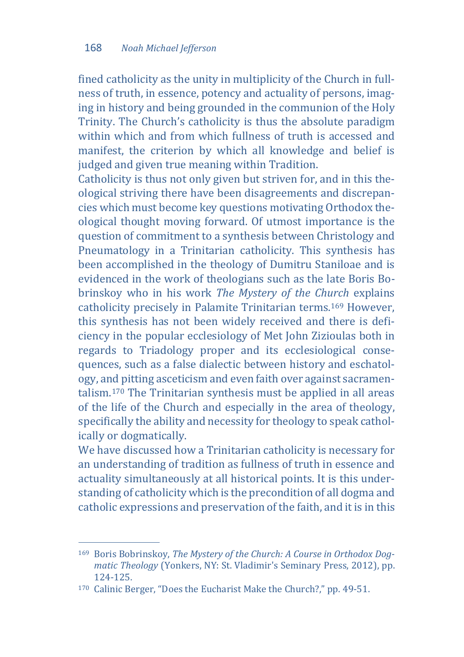fined catholicity as the unity in multiplicity of the Church in fullness of truth, in essence, potency and actuality of persons, imaging in history and being grounded in the communion of the Holy Trinity. The Church's catholicity is thus the absolute paradigm within which and from which fullness of truth is accessed and manifest, the criterion by which all knowledge and belief is judged and given true meaning within Tradition.

Catholicity is thus not only given but striven for, and in this theological striving there have been disagreements and discrepancies which must become key questions motivating Orthodox theological thought moving forward. Of utmost importance is the question of commitment to a synthesis between Christology and Pneumatology in a Trinitarian catholicity. This synthesis has been accomplished in the theology of Dumitru Staniloae and is evidenced in the work of theologians such as the late Boris Bobrinskoy who in his work *The Mystery of the Church* explains catholicity precisely in Palamite Trinitarian terms.[169](#page-32-0) However, this synthesis has not been widely received and there is deficiency in the popular ecclesiology of Met John Zizioulas both in regards to Triadology proper and its ecclesiological consequences, such as a false dialectic between history and eschatology, and pitting asceticism and even faith over against sacramentalism.[170](#page-32-1) The Trinitarian synthesis must be applied in all areas of the life of the Church and especially in the area of theology, specifically the ability and necessity for theology to speak catholically or dogmatically.

We have discussed how a Trinitarian catholicity is necessary for an understanding of tradition as fullness of truth in essence and actuality simultaneously at all historical points. It is this understanding of catholicity which is the precondition of all dogma and catholic expressions and preservation of the faith, and it is in this

<span id="page-32-0"></span>j <sup>169</sup> Boris Bobrinskoy, *The Mystery of the Church: A Course in Orthodox Dogmatic Theology* (Yonkers, NY: St. Vladimir's Seminary Press, 2012), pp.

<span id="page-32-1"></span><sup>&</sup>lt;sup>170</sup> Calinic Berger, "Does the Eucharist Make the Church?," pp. 49-51.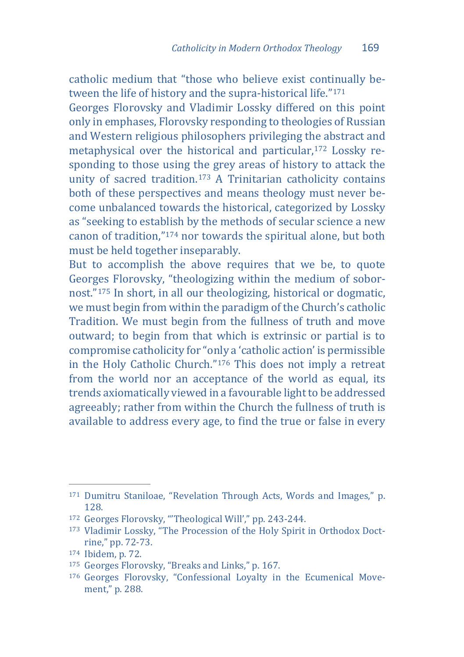catholic medium that "those who believe exist continually between the life of history and the supra-historical life."[171](#page-33-0)

Georges Florovsky and Vladimir Lossky differed on this point only in emphases, Florovsky responding to theologies of Russian and Western religious philosophers privileging the abstract and metaphysical over the historical and particular,[172](#page-33-1) Lossky responding to those using the grey areas of history to attack the unity of sacred tradition.[173](#page-33-2) A Trinitarian catholicity contains both of these perspectives and means theology must never become unbalanced towards the historical, categorized by Lossky as "seeking to establish by the methods of secular science a new canon of tradition,"[174](#page-33-3) nor towards the spiritual alone, but both must be held together inseparably.

But to accomplish the above requires that we be, to quote Georges Florovsky, "theologizing within the medium of sobornost."[175](#page-33-4) In short, in all our theologizing, historical or dogmatic, we must begin from within the paradigm of the Church's catholic Tradition. We must begin from the fullness of truth and move outward; to begin from that which is extrinsic or partial is to compromise catholicity for "only a 'catholic action' is permissible in the Holy Catholic Church."[176](#page-33-5) This does not imply a retreat from the world nor an acceptance of the world as equal, its trends axiomatically viewed in a favourable light to be addressed agreeably; rather from within the Church the fullness of truth is available to address every age, to find the true or false in every

<span id="page-33-0"></span>j <sup>171</sup> Dumitru Staniloae, "Revelation Through Acts, Words and Images," p. 128.<br>172 Georges Florovsky, "Theological Will'," pp. 243-244.

<span id="page-33-2"></span><span id="page-33-1"></span><sup>&</sup>lt;sup>173</sup> Vladimir Lossky, "The Procession of the Holy Spirit in Orthodox Doct-<br>rine," pp. 72-73.

<span id="page-33-4"></span>

<span id="page-33-3"></span><sup>&</sup>lt;sup>174</sup> Ibidem, p. 72. 175 Georges Florovsky, "Breaks and Links," p. 167.

<span id="page-33-5"></span><sup>176</sup> Georges Florovsky, "Confessional Loyalty in the Ecumenical Movement," p. 288.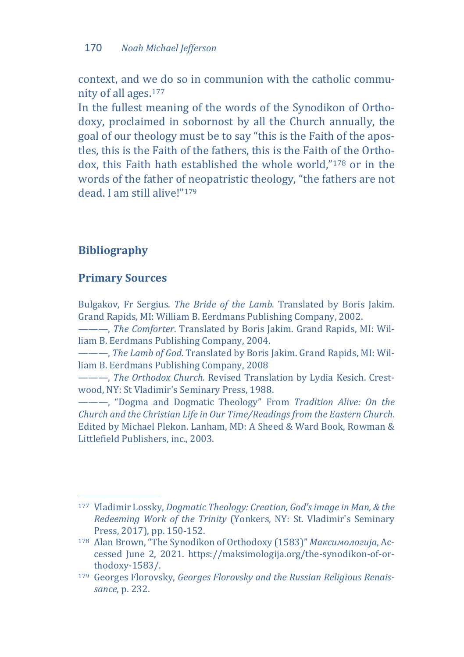context, and we do so in communion with the catholic community of all ages.[177](#page-34-0)

In the fullest meaning of the words of the Synodikon of Orthodoxy, proclaimed in sobornost by all the Church annually, the goal of our theology must be to say "this is the Faith of the apostles, this is the Faith of the fathers, this is the Faith of the Orthodox, this Faith hath established the whole world,"[178](#page-34-1) or in the words of the father of neopatristic theology, "the fathers are not dead. I am still alive!"[179](#page-34-2)

# **Bibliography**

### **Primary Sources**

Bulgakov, Fr Sergius. *The Bride of the Lamb*. Translated by Boris Jakim. Grand Rapids, MI: William B. Eerdmans Publishing Company, 2002.

———, *The Comforter*. Translated by Boris Jakim. Grand Rapids, MI: William B. Eerdmans Publishing Company, 2004.

———, *The Lamb of God*. Translated by Boris Jakim. Grand Rapids, MI: William B. Eerdmans Publishing Company, 2008

———, *The Orthodox Church*. Revised Translation by Lydia Kesich. Crestwood, NY: St Vladimir's Seminary Press, 1988.

———, "Dogma and Dogmatic Theology" From *Tradition Alive: On the Church and the Christian Life in Our Time/Readings from the Eastern Church*. Edited by Michael Plekon. Lanham, MD: A Sheed & Ward Book, Rowman & Littlefield Publishers, inc., 2003.

<span id="page-34-0"></span>j <sup>177</sup> Vladimir Lossky, *Dogmatic Theology: Creation, God's image in Man, & the Redeeming Work of the Trinity* (Yonkers, NY: St. Vladimir's Seminary

<span id="page-34-1"></span><sup>&</sup>lt;sup>178</sup> Alan Brown, "The Synodikon of Orthodoxy (1583)" Максимологија, Accessed June 2, 2021. https://maksimologija.org/the-synodikon-of-orthodoxy-1583/.

<span id="page-34-2"></span><sup>179</sup> Georges Florovsky, *Georges Florovsky and the Russian Religious Renaissance*, p. 232.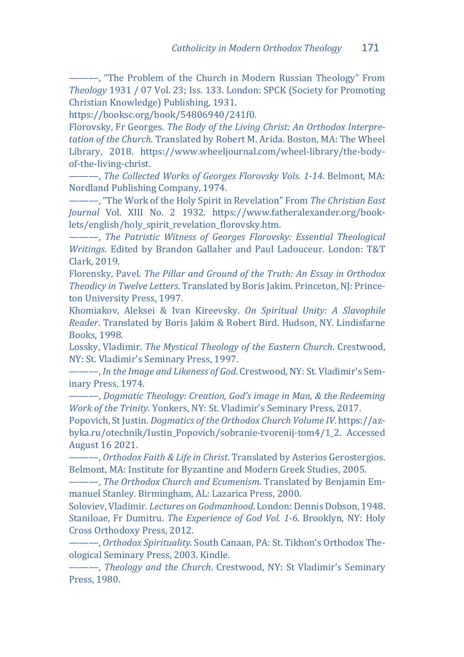———, "The Problem of the Church in Modern Russian Theology" From *Theology* 1931 / 07 Vol. 23; Iss. 133. London: SPCK (Society for Promoting Christian Knowledge) Publishing, 1931.

https://booksc.org/book/54806940/241f0.

Florovsky, Fr Georges. *The Body of the Living Christ: An Orthodox Interpretation of the Church.* Translated by Robert M. Arida. Boston, MA: The Wheel Library, 2018. https://www.wheeljournal.com/wheel-library/the-bodyof-the-living-christ.

———, *The Collected Works of Georges Florovsky Vols. 1-14*. Belmont, MA: Nordland Publishing Company, 1974.

———, "The Work of the Holy Spirit in Revelation" From *The Christian East Journal* Vol. XIII No. 2 1932. https://www.fatheralexander.org/booklets/english/holy\_spirit\_revelation\_florovsky.htm.

———, *The Patristic Witness of Georges Florovsky: Essential Theological Writings*. Edited by Brandon Gallaher and Paul Ladouceur. London: T&T Clark, 2019.

Florensky, Pavel. *The Pillar and Ground of the Truth: An Essay in Orthodox Theodicy in Twelve Letters*. Translated by Boris Jakim. Princeton, NJ: Princeton University Press, 1997.

Khomiakov, Aleksei & Ivan Kireevsky. *On Spiritual Unity: A Slavophile Reader*. Translated by Boris Jakim & Robert Bird. Hudson, NY. Lindisfarne Books, 1998.

Lossky, Vladimir. *The Mystical Theology of the Eastern Church*. Crestwood, NY: St. Vladimir's Seminary Press, 1997.

———, *In the Image and Likeness of God*. Crestwood, NY: St. Vladimir's Seminary Press, 1974.

———, *Dogmatic Theology: Creation, God's image in Man, & the Redeeming Work of the Trinity.* Yonkers, NY: St. Vladimir's Seminary Press, 2017.

Popovich, St Justin. *Dogmatics of the Orthodox Church Volume IV*. https://azbyka.ru/otechnik/Iustin\_Popovich/sobranie-tvorenij-tom4/1\_2. Accessed August 16 2021.

———, *Orthodox Faith & Life in Christ*. Translated by Asterios Gerostergios. Belmont, MA: Institute for Byzantine and Modern Greek Studies, 2005.

———, *The Orthodox Church and Ecumenism*. Translated by Benjamin Emmanuel Stanley. Birmingham, AL: Lazarica Press, 2000.

Soloviev, Vladimir. *Lectures on Godmanhood*. London: Dennis Dobson, 1948. Staniloae, Fr Dumitru. *The Experience of God Vol. 1-6*. Brooklyn, NY: Holy Cross Orthodoxy Press, 2012.

———, *Orthodox Spirituality*. South Canaan, PA: St. Tikhon's Orthodox Theological Seminary Press, 2003. Kindle.

———, *Theology and the Church*. Crestwood, NY: St Vladimir's Seminary Press, 1980.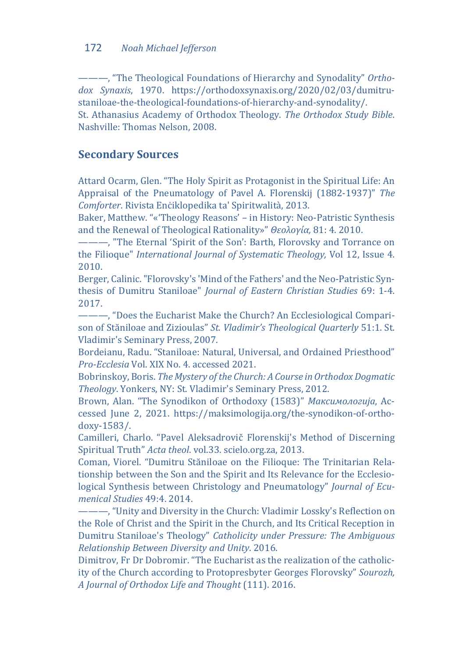———, "The Theological Foundations of Hierarchy and Synodality" *Orthodox Synaxis*, 1970. https://orthodoxsynaxis.org/2020/02/03/dumitrustaniloae-the-theological-foundations-of-hierarchy-and-synodality/. St. Athanasius Academy of Orthodox Theology. *The Orthodox Study Bible*. Nashville: Thomas Nelson, 2008.

### **Secondary Sources**

Attard Ocarm, Glen. "The Holy Spirit as Protagonist in the Spiritual Life: An Appraisal of the Pneumatology of Pavel A. Florenskij (1882-1937)" *The Comforter*. Rivista Enċiklopedika ta' Spiritwalità, 2013.

Baker, Matthew. "«'Theology Reasons' – in History: Neo-Patristic Synthesis and the Renewal of Theological Rationality»" *Θεολογία,* 81: 4. 2010.

———, "The Eternal 'Spirit of the Son': Barth, Florovsky and Torrance on the Filioque" *International Journal of Systematic Theology,* Vol 12, Issue 4. 2010.

Berger, Calinic. "Florovsky's 'Mind of the Fathers' and the Neo-Patristic Synthesis of Dumitru Staniloae" *Journal of Eastern Christian Studies* 69: 1-4. 2017.

———, "Does the Eucharist Make the Church? An Ecclesiological Comparison of Stăniloae and Zizioulas" *St. Vladimir's Theological Quarterly* 51:1. St. Vladimir's Seminary Press, 2007.

Bordeianu, Radu. "Staniloae: Natural, Universal, and Ordained Priesthood" *Pro-Ecclesia* Vol. XIX No. 4. accessed 2021.

Bobrinskoy, Boris. *The Mystery of the Church: A Course in Orthodox Dogmatic Theology*. Yonkers, NY: St. Vladimir's Seminary Press, 2012.

Brown, Alan. "The Synodikon of Orthodoxy (1583)" *Максимологија*, Accessed June 2, 2021. https://maksimologija.org/the-synodikon-of-orthodoxy-1583/.

Camilleri, Charlo. "Pavel Aleksadrovič Florenskij's Method of Discerning Spiritual Truth" *Acta theol*. vol.33. scielo.org.za, 2013.

Coman, Viorel. "Dumitru Stăniloae on the Filioque: The Trinitarian Relationship between the Son and the Spirit and Its Relevance for the Ecclesiological Synthesis between Christology and Pneumatology" *Journal of Ecumenical Studies* 49:4. 2014.

———, "Unity and Diversity in the Church: Vladimir Lossky's Reflection on the Role of Christ and the Spirit in the Church, and Its Critical Reception in Dumitru Staniloae's Theology" *Catholicity under Pressure: The Ambiguous Relationship Between Diversity and Unity*. 2016.

Dimitrov, Fr Dr Dobromir. "The Eucharist as the realization of the catholicity of the Church according to Protopresbyter Georges Florovsky" *Sourozh, A Journal of Orthodox Life and Thought* (111). 2016.